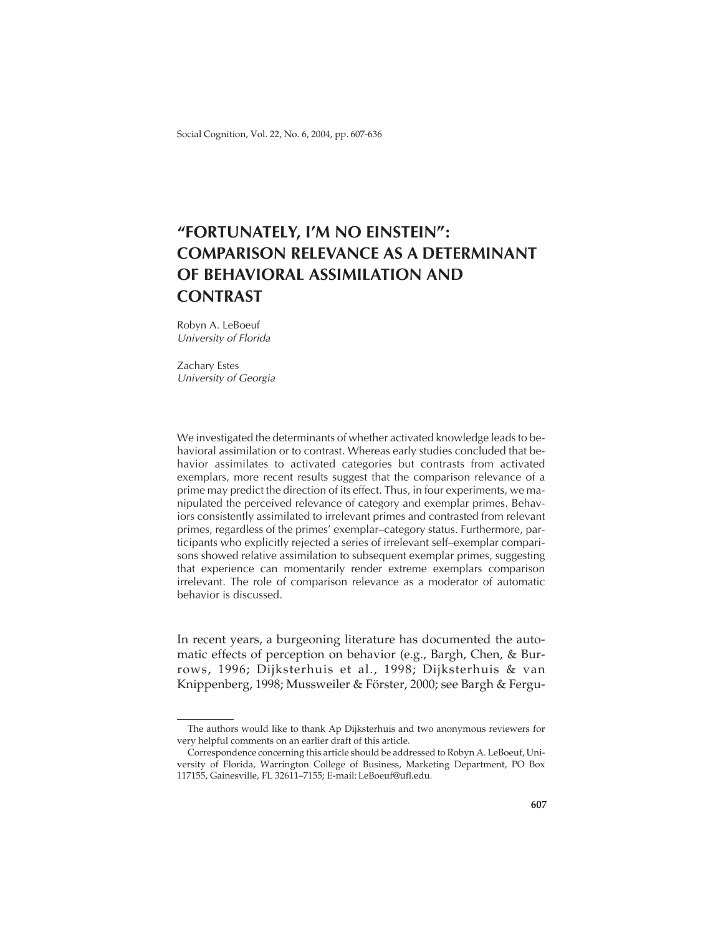Social Cognition, Vol. 22, No. 6, 2004, pp. 607-636

# **"FORTUNATELY, I'M NO EINSTEIN": COMPARISON RELEVANCE AS A DETERMINANT OF BEHAVIORAL ASSIMILATION AND CONTRAST**

Robyn A. LeBoeuf University of Florida

Zachary Estes University of Georgia

We investigated the determinants of whether activated knowledge leads to behavioral assimilation or to contrast. Whereas early studies concluded that behavior assimilates to activated categories but contrasts from activated exemplars, more recent results suggest that the comparison relevance of a prime may predict the direction of its effect. Thus, in four experiments, we manipulated the perceived relevance of category and exemplar primes. Behaviors consistently assimilated to irrelevant primes and contrasted from relevant primes, regardless of the primes' exemplar–category status. Furthermore, participants who explicitly rejected a series of irrelevant self–exemplar comparisons showed relative assimilation to subsequent exemplar primes, suggesting that experience can momentarily render extreme exemplars comparison irrelevant. The role of comparison relevance as a moderator of automatic behavior is discussed.

In recent years, a burgeoning literature has documented the automatic effects of perception on behavior (e.g., Bargh, Chen, & Burrows, 1996; Dijksterhuis et al., 1998; Dijksterhuis & van Knippenberg, 1998; Mussweiler & Förster, 2000; see Bargh & Fergu-

The authors would like to thank Ap Dijksterhuis and two anonymous reviewers for very helpful comments on an earlier draft of this article.

Correspondence concerning this article should be addressed to Robyn A. LeBoeuf, University of Florida, Warrington College of Business, Marketing Department, PO Box 117155, Gainesville, FL 32611–7155; E-mail: LeBoeuf@ufl.edu.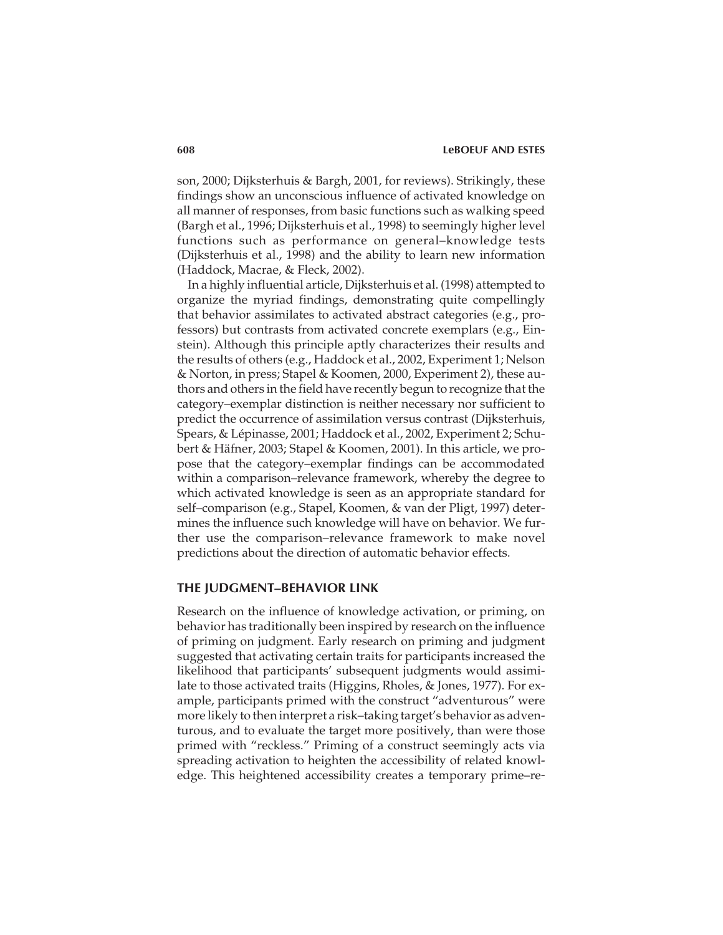son, 2000; Dijksterhuis & Bargh, 2001, for reviews). Strikingly, these findings show an unconscious influence of activated knowledge on all manner of responses, from basic functions such as walking speed (Bargh et al., 1996; Dijksterhuis et al., 1998) to seemingly higher level functions such as performance on general–knowledge tests (Dijksterhuis et al., 1998) and the ability to learn new information (Haddock, Macrae, & Fleck, 2002).

In a highly influential article, Dijksterhuis et al. (1998) attempted to organize the myriad findings, demonstrating quite compellingly that behavior assimilates to activated abstract categories (e.g., professors) but contrasts from activated concrete exemplars (e.g., Einstein). Although this principle aptly characterizes their results and the results of others (e.g., Haddock et al., 2002, Experiment 1; Nelson & Norton, in press; Stapel & Koomen, 2000, Experiment 2), these authors and others in the field have recently begun to recognize that the category–exemplar distinction is neither necessary nor sufficient to predict the occurrence of assimilation versus contrast (Dijksterhuis, Spears, & Lépinasse, 2001; Haddock et al., 2002, Experiment 2; Schubert & Häfner, 2003; Stapel & Koomen, 2001). In this article, we propose that the category–exemplar findings can be accommodated within a comparison–relevance framework, whereby the degree to which activated knowledge is seen as an appropriate standard for self–comparison (e.g., Stapel, Koomen, & van der Pligt, 1997) determines the influence such knowledge will have on behavior. We further use the comparison–relevance framework to make novel predictions about the direction of automatic behavior effects.

### **THE JUDGMENT–BEHAVIOR LINK**

Research on the influence of knowledge activation, or priming, on behavior has traditionally been inspired by research on the influence of priming on judgment. Early research on priming and judgment suggested that activating certain traits for participants increased the likelihood that participants' subsequent judgments would assimilate to those activated traits (Higgins, Rholes, & Jones, 1977). For example, participants primed with the construct "adventurous" were more likely to then interpret a risk–taking target's behavior as adventurous, and to evaluate the target more positively, than were those primed with "reckless." Priming of a construct seemingly acts via spreading activation to heighten the accessibility of related knowledge. This heightened accessibility creates a temporary prime–re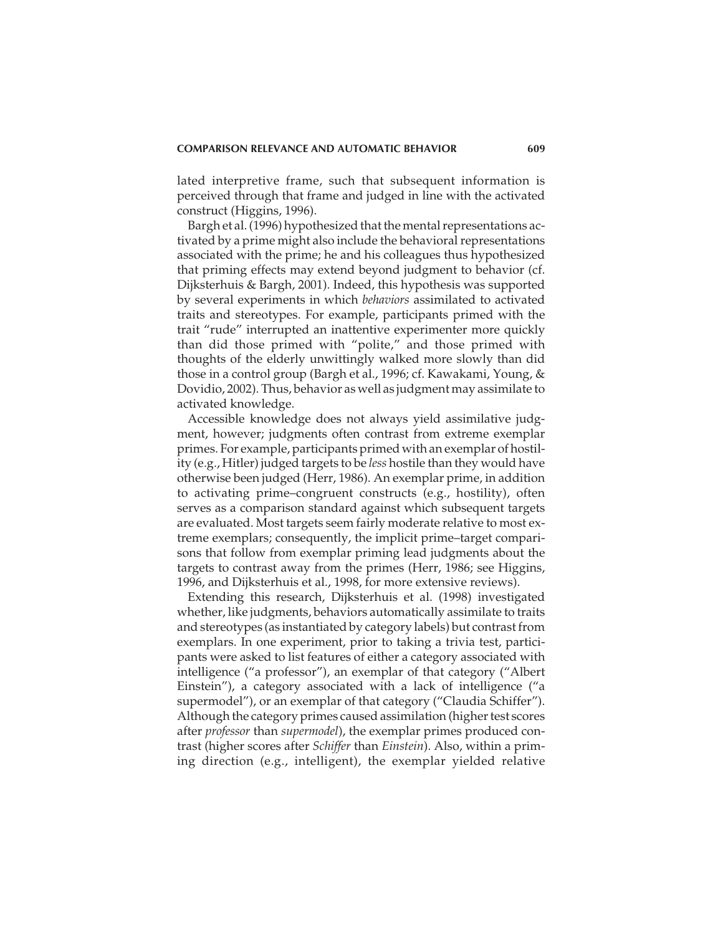lated interpretive frame, such that subsequent information is perceived through that frame and judged in line with the activated construct (Higgins, 1996).

Bargh et al. (1996) hypothesized that the mental representations activated by a prime might also include the behavioral representations associated with the prime; he and his colleagues thus hypothesized that priming effects may extend beyond judgment to behavior (cf. Dijksterhuis & Bargh, 2001). Indeed, this hypothesis was supported by several experiments in which *behaviors* assimilated to activated traits and stereotypes. For example, participants primed with the trait "rude" interrupted an inattentive experimenter more quickly than did those primed with "polite," and those primed with thoughts of the elderly unwittingly walked more slowly than did those in a control group (Bargh et al., 1996; cf. Kawakami, Young, & Dovidio, 2002). Thus, behavior as well as judgment may assimilate to activated knowledge.

Accessible knowledge does not always yield assimilative judgment, however; judgments often contrast from extreme exemplar primes. For example, participants primed with an exemplar of hostility (e.g., Hitler) judged targets to be *less* hostile than they would have otherwise been judged (Herr, 1986). An exemplar prime, in addition to activating prime–congruent constructs (e.g., hostility), often serves as a comparison standard against which subsequent targets are evaluated. Most targets seem fairly moderate relative to most extreme exemplars; consequently, the implicit prime–target comparisons that follow from exemplar priming lead judgments about the targets to contrast away from the primes (Herr, 1986; see Higgins, 1996, and Dijksterhuis et al., 1998, for more extensive reviews).

Extending this research, Dijksterhuis et al. (1998) investigated whether, like judgments, behaviors automatically assimilate to traits and stereotypes (as instantiated by category labels) but contrast from exemplars. In one experiment, prior to taking a trivia test, participants were asked to list features of either a category associated with intelligence ("a professor"), an exemplar of that category ("Albert Einstein"), a category associated with a lack of intelligence ("a supermodel"), or an exemplar of that category ("Claudia Schiffer"). Although the category primes caused assimilation (higher test scores after *professor* than *supermodel*), the exemplar primes produced contrast (higher scores after *Schiffer* than *Einstein*). Also, within a priming direction (e.g., intelligent), the exemplar yielded relative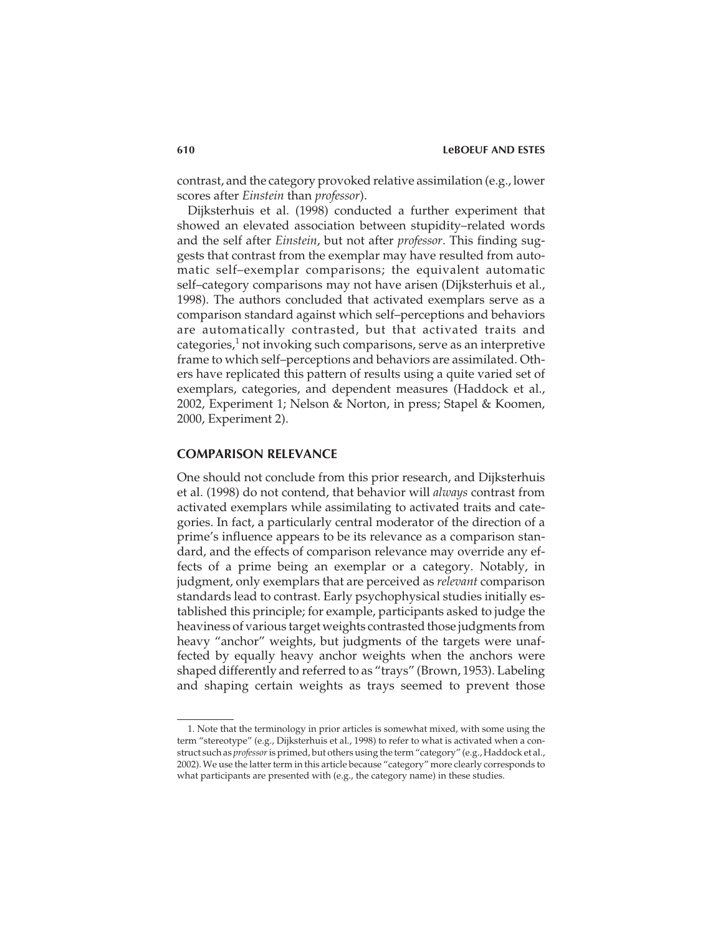contrast, and the category provoked relative assimilation (e.g., lower scores after *Einstein* than *professor*).

Dijksterhuis et al. (1998) conducted a further experiment that showed an elevated association between stupidity–related words and the self after *Einstein*, but not after *professor*. This finding suggests that contrast from the exemplar may have resulted from automatic self–exemplar comparisons; the equivalent automatic self–category comparisons may not have arisen (Dijksterhuis et al., 1998). The authors concluded that activated exemplars serve as a comparison standard against which self–perceptions and behaviors are automatically contrasted, but that activated traits and categories, $<sup>1</sup>$  not invoking such comparisons, serve as an interpretive</sup> frame to which self–perceptions and behaviors are assimilated. Others have replicated this pattern of results using a quite varied set of exemplars, categories, and dependent measures (Haddock et al., 2002, Experiment 1; Nelson & Norton, in press; Stapel & Koomen, 2000, Experiment 2).

# **COMPARISON RELEVANCE**

One should not conclude from this prior research, and Dijksterhuis et al. (1998) do not contend, that behavior will *always* contrast from activated exemplars while assimilating to activated traits and categories. In fact, a particularly central moderator of the direction of a prime's influence appears to be its relevance as a comparison standard, and the effects of comparison relevance may override any effects of a prime being an exemplar or a category. Notably, in judgment, only exemplars that are perceived as *relevant* comparison standards lead to contrast. Early psychophysical studies initially established this principle; for example, participants asked to judge the heaviness of various target weights contrasted those judgments from heavy "anchor" weights, but judgments of the targets were unaffected by equally heavy anchor weights when the anchors were shaped differently and referred to as "trays" (Brown, 1953). Labeling and shaping certain weights as trays seemed to prevent those

<sup>1.</sup> Note that the terminology in prior articles is somewhat mixed, with some using the term "stereotype" (e.g., Dijksterhuis et al., 1998) to refer to what is activated when a construct such as *professor*is primed, but others using the term "category" (e.g., Haddock et al., 2002). We use the latter term in this article because "category" more clearly corresponds to what participants are presented with (e.g., the category name) in these studies.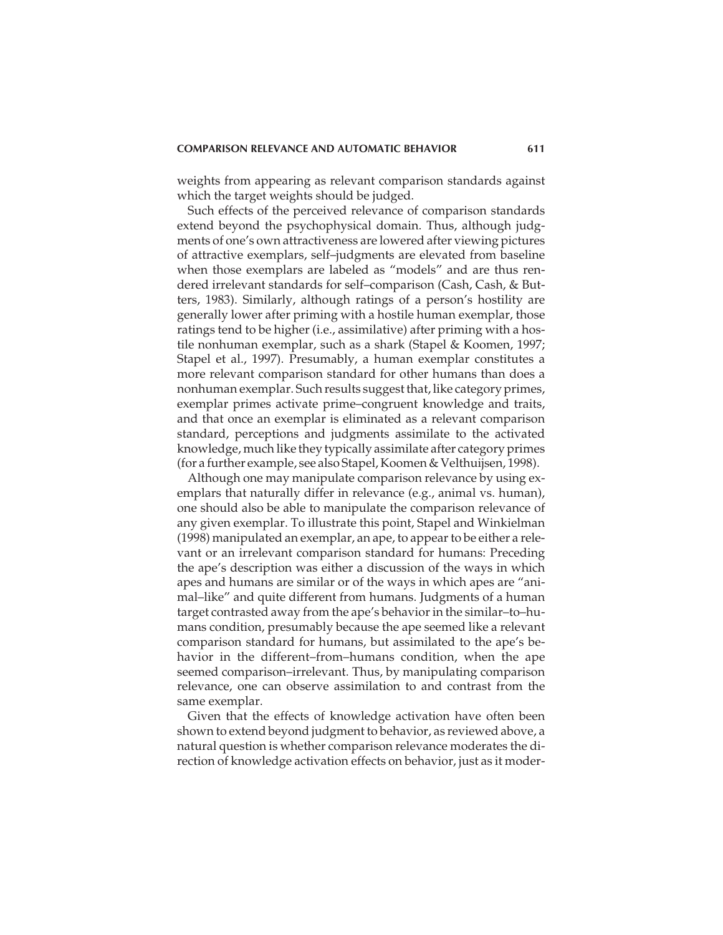weights from appearing as relevant comparison standards against which the target weights should be judged.

Such effects of the perceived relevance of comparison standards extend beyond the psychophysical domain. Thus, although judgments of one's own attractiveness are lowered after viewing pictures of attractive exemplars, self–judgments are elevated from baseline when those exemplars are labeled as "models" and are thus rendered irrelevant standards for self–comparison (Cash, Cash, & Butters, 1983). Similarly, although ratings of a person's hostility are generally lower after priming with a hostile human exemplar, those ratings tend to be higher (i.e., assimilative) after priming with a hostile nonhuman exemplar, such as a shark (Stapel & Koomen, 1997; Stapel et al., 1997). Presumably, a human exemplar constitutes a more relevant comparison standard for other humans than does a nonhuman exemplar. Such results suggest that, like category primes, exemplar primes activate prime–congruent knowledge and traits, and that once an exemplar is eliminated as a relevant comparison standard, perceptions and judgments assimilate to the activated knowledge, much like they typically assimilate after category primes (for a further example, see also Stapel, Koomen & Velthuijsen, 1998).

Although one may manipulate comparison relevance by using exemplars that naturally differ in relevance (e.g., animal vs. human), one should also be able to manipulate the comparison relevance of any given exemplar. To illustrate this point, Stapel and Winkielman (1998) manipulated an exemplar, an ape, to appear to be either a relevant or an irrelevant comparison standard for humans: Preceding the ape's description was either a discussion of the ways in which apes and humans are similar or of the ways in which apes are "animal–like" and quite different from humans. Judgments of a human target contrasted away from the ape's behavior in the similar–to–humans condition, presumably because the ape seemed like a relevant comparison standard for humans, but assimilated to the ape's behavior in the different–from–humans condition, when the ape seemed comparison–irrelevant. Thus, by manipulating comparison relevance, one can observe assimilation to and contrast from the same exemplar.

Given that the effects of knowledge activation have often been shown to extend beyond judgment to behavior, as reviewed above, a natural question is whether comparison relevance moderates the direction of knowledge activation effects on behavior, just as it moder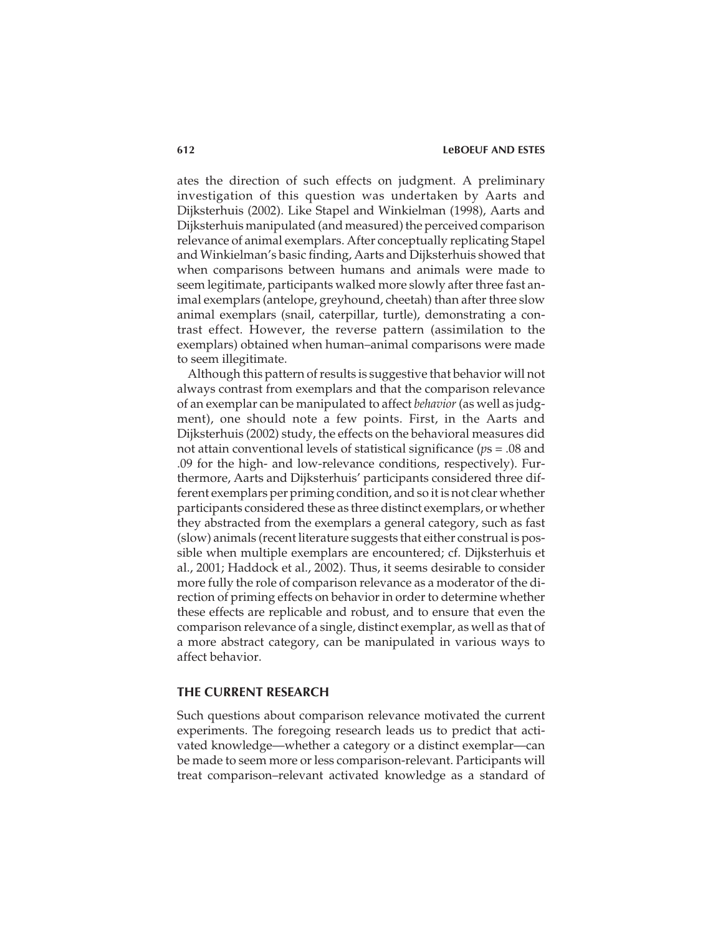ates the direction of such effects on judgment. A preliminary investigation of this question was undertaken by Aarts and Dijksterhuis (2002). Like Stapel and Winkielman (1998), Aarts and Dijksterhuis manipulated (and measured) the perceived comparison relevance of animal exemplars. After conceptually replicating Stapel and Winkielman's basic finding, Aarts and Dijksterhuis showed that when comparisons between humans and animals were made to seem legitimate, participants walked more slowly after three fast animal exemplars (antelope, greyhound, cheetah) than after three slow animal exemplars (snail, caterpillar, turtle), demonstrating a contrast effect. However, the reverse pattern (assimilation to the exemplars) obtained when human–animal comparisons were made to seem illegitimate.

Although this pattern of results is suggestive that behavior will not always contrast from exemplars and that the comparison relevance of an exemplar can be manipulated to affect *behavior*(as well as judgment), one should note a few points. First, in the Aarts and Dijksterhuis (2002) study, the effects on the behavioral measures did not attain conventional levels of statistical significance (*p*s = .08 and .09 for the high- and low-relevance conditions, respectively). Furthermore, Aarts and Dijksterhuis' participants considered three different exemplars per priming condition, and so it is not clear whether participants considered these as three distinct exemplars, or whether they abstracted from the exemplars a general category, such as fast (slow) animals (recent literature suggests that either construal is possible when multiple exemplars are encountered; cf. Dijksterhuis et al., 2001; Haddock et al., 2002). Thus, it seems desirable to consider more fully the role of comparison relevance as a moderator of the direction of priming effects on behavior in order to determine whether these effects are replicable and robust, and to ensure that even the comparison relevance of a single, distinct exemplar, as well as that of a more abstract category, can be manipulated in various ways to affect behavior.

# **THE CURRENT RESEARCH**

Such questions about comparison relevance motivated the current experiments. The foregoing research leads us to predict that activated knowledge—whether a category or a distinct exemplar—can be made to seem more or less comparison-relevant. Participants will treat comparison–relevant activated knowledge as a standard of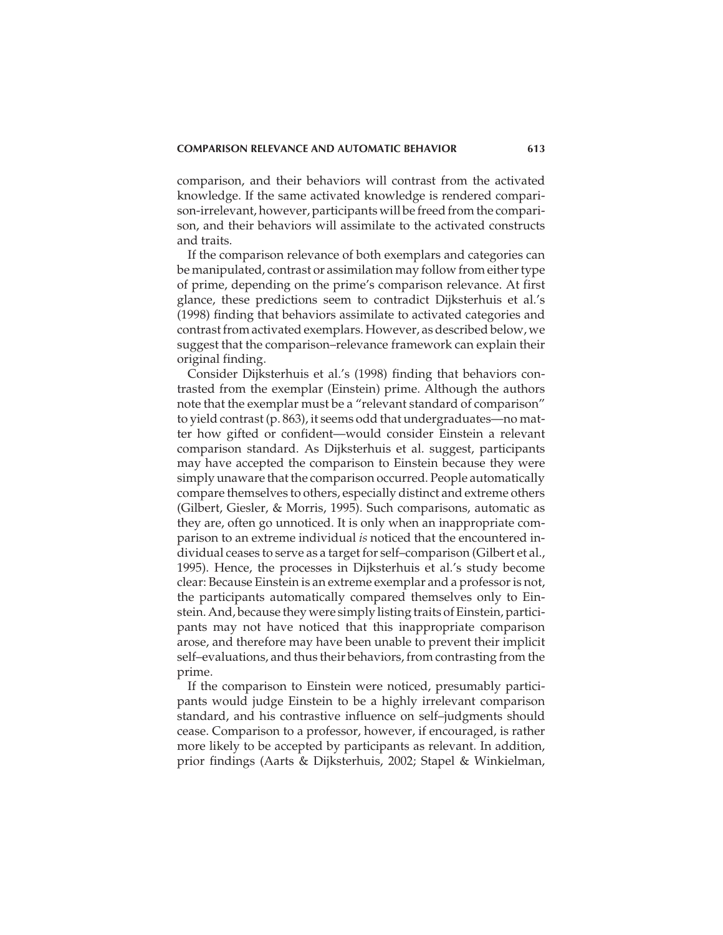comparison, and their behaviors will contrast from the activated knowledge. If the same activated knowledge is rendered comparison-irrelevant, however, participants will be freed from the comparison, and their behaviors will assimilate to the activated constructs and traits.

If the comparison relevance of both exemplars and categories can be manipulated, contrast or assimilation may follow from either type of prime, depending on the prime's comparison relevance. At first glance, these predictions seem to contradict Dijksterhuis et al.'s (1998) finding that behaviors assimilate to activated categories and contrast from activated exemplars. However, as described below, we suggest that the comparison–relevance framework can explain their original finding.

Consider Dijksterhuis et al.'s (1998) finding that behaviors contrasted from the exemplar (Einstein) prime. Although the authors note that the exemplar must be a "relevant standard of comparison" to yield contrast (p. 863), it seems odd that undergraduates—no matter how gifted or confident—would consider Einstein a relevant comparison standard. As Dijksterhuis et al. suggest, participants may have accepted the comparison to Einstein because they were simply unaware that the comparison occurred. People automatically compare themselves to others, especially distinct and extreme others (Gilbert, Giesler, & Morris, 1995). Such comparisons, automatic as they are, often go unnoticed. It is only when an inappropriate comparison to an extreme individual *is* noticed that the encountered individual ceases to serve as a target for self–comparison (Gilbert et al., 1995). Hence, the processes in Dijksterhuis et al.'s study become clear: Because Einstein is an extreme exemplar and a professor is not, the participants automatically compared themselves only to Einstein. And, because they were simply listing traits of Einstein, participants may not have noticed that this inappropriate comparison arose, and therefore may have been unable to prevent their implicit self–evaluations, and thus their behaviors, from contrasting from the prime.

If the comparison to Einstein were noticed, presumably participants would judge Einstein to be a highly irrelevant comparison standard, and his contrastive influence on self–judgments should cease. Comparison to a professor, however, if encouraged, is rather more likely to be accepted by participants as relevant. In addition, prior findings (Aarts & Dijksterhuis, 2002; Stapel & Winkielman,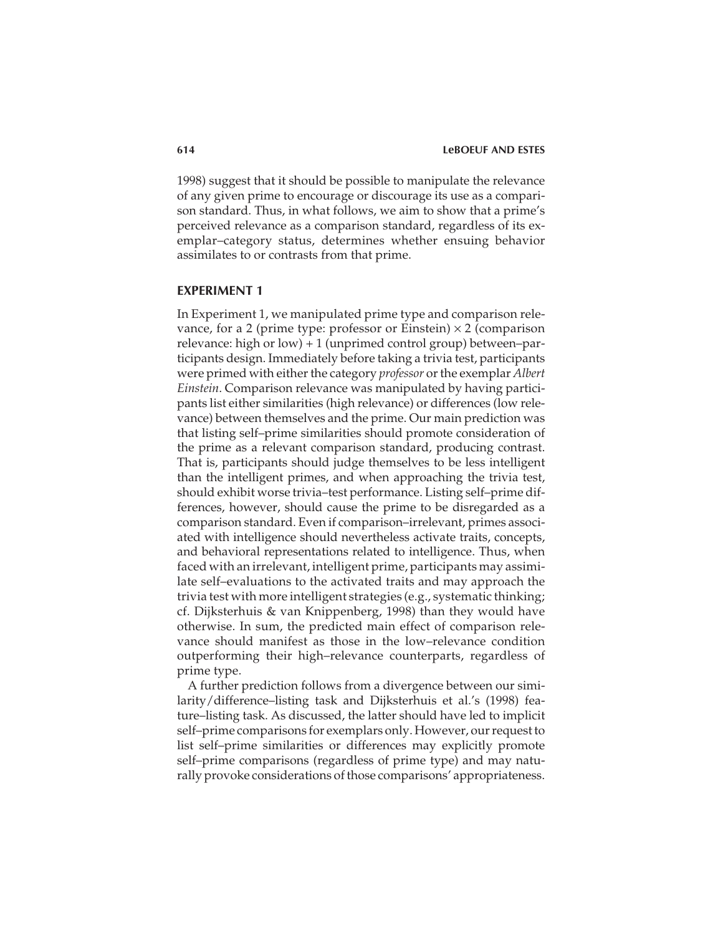1998) suggest that it should be possible to manipulate the relevance of any given prime to encourage or discourage its use as a comparison standard. Thus, in what follows, we aim to show that a prime's perceived relevance as a comparison standard, regardless of its exemplar–category status, determines whether ensuing behavior assimilates to or contrasts from that prime.

# **EXPERIMENT 1**

In Experiment 1, we manipulated prime type and comparison relevance, for a 2 (prime type: professor or Einstein)  $\times$  2 (comparison relevance: high or low) + 1 (unprimed control group) between–participants design. Immediately before taking a trivia test, participants were primed with either the category *professor* or the exemplar *Albert Einstein*. Comparison relevance was manipulated by having participants list either similarities (high relevance) or differences (low relevance) between themselves and the prime. Our main prediction was that listing self–prime similarities should promote consideration of the prime as a relevant comparison standard, producing contrast. That is, participants should judge themselves to be less intelligent than the intelligent primes, and when approaching the trivia test, should exhibit worse trivia–test performance. Listing self–prime differences, however, should cause the prime to be disregarded as a comparison standard. Even if comparison–irrelevant, primes associated with intelligence should nevertheless activate traits, concepts, and behavioral representations related to intelligence. Thus, when faced with an irrelevant, intelligent prime, participants may assimilate self–evaluations to the activated traits and may approach the trivia test with more intelligent strategies (e.g., systematic thinking; cf. Dijksterhuis & van Knippenberg, 1998) than they would have otherwise. In sum, the predicted main effect of comparison relevance should manifest as those in the low–relevance condition outperforming their high–relevance counterparts, regardless of prime type.

A further prediction follows from a divergence between our similarity/difference–listing task and Dijksterhuis et al.'s (1998) feature–listing task. As discussed, the latter should have led to implicit self–prime comparisons for exemplars only. However, our request to list self–prime similarities or differences may explicitly promote self–prime comparisons (regardless of prime type) and may naturally provoke considerations of those comparisons' appropriateness.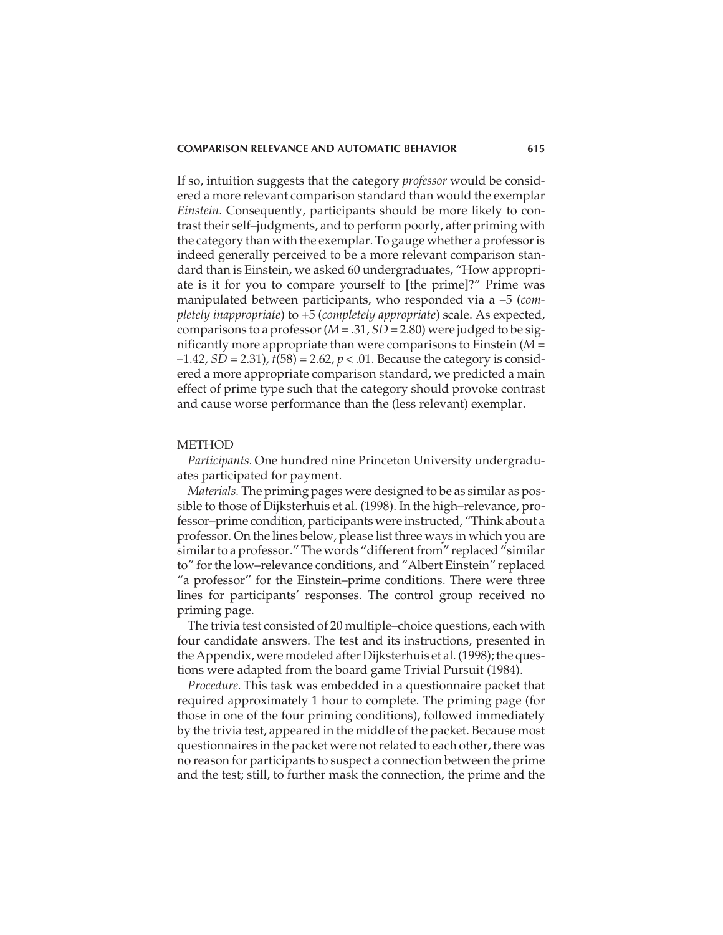If so, intuition suggests that the category *professor* would be considered a more relevant comparison standard than would the exemplar *Einstein*. Consequently, participants should be more likely to contrast their self–judgments, and to perform poorly, after priming with the category than with the exemplar. To gauge whether a professor is indeed generally perceived to be a more relevant comparison standard than is Einstein, we asked 60 undergraduates, "How appropriate is it for you to compare yourself to [the prime]?" Prime was manipulated between participants, who responded via a –5 (*completely inappropriate*) to +5 (*completely appropriate*) scale. As expected, comparisons to a professor (*M* = .31, *SD* = 2.80) were judged to be significantly more appropriate than were comparisons to Einstein (*M* =  $-1.42$ , *SD* = 2.31),  $t(58) = 2.62$ ,  $p < .01$ . Because the category is considered a more appropriate comparison standard, we predicted a main effect of prime type such that the category should provoke contrast and cause worse performance than the (less relevant) exemplar.

#### **METHOD**

*Participants.* One hundred nine Princeton University undergraduates participated for payment.

*Materials.* The priming pages were designed to be as similar as possible to those of Dijksterhuis et al. (1998). In the high–relevance, professor–prime condition, participants were instructed, "Think about a professor. On the lines below, please list three ways in which you are similar to a professor." The words "different from" replaced "similar to" for the low–relevance conditions, and "Albert Einstein" replaced "a professor" for the Einstein–prime conditions. There were three lines for participants' responses. The control group received no priming page.

The trivia test consisted of 20 multiple–choice questions, each with four candidate answers. The test and its instructions, presented in the Appendix, were modeled after Dijksterhuis et al. (1998); the questions were adapted from the board game Trivial Pursuit (1984).

*Procedure.* This task was embedded in a questionnaire packet that required approximately 1 hour to complete. The priming page (for those in one of the four priming conditions), followed immediately by the trivia test, appeared in the middle of the packet. Because most questionnaires in the packet were not related to each other, there was no reason for participants to suspect a connection between the prime and the test; still, to further mask the connection, the prime and the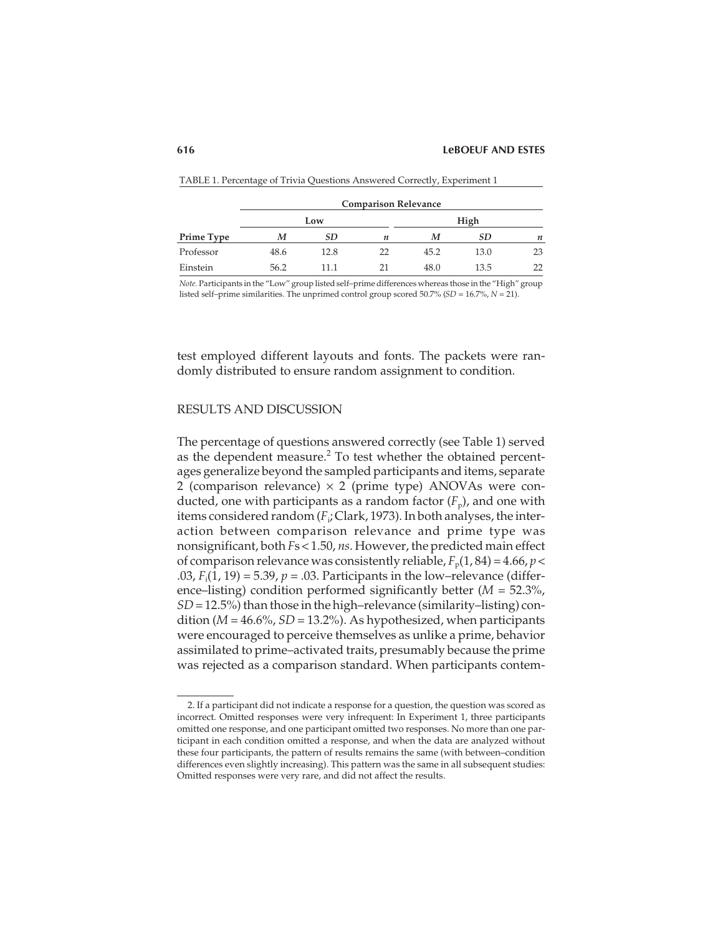|            | <b>Comparison Relevance</b> |           |    |      |      |    |  |
|------------|-----------------------------|-----------|----|------|------|----|--|
|            | Low                         |           |    | High |      |    |  |
| Prime Type | M                           | <b>SD</b> | n  | M    | SD.  | n  |  |
| Professor  | 48.6                        | 12.8      | 22 | 45.2 | 13.0 | 23 |  |
| Einstein   | 56.2                        | 11.1      | 21 | 48.0 | 13.5 | 22 |  |

TABLE 1. Percentage of Trivia Questions Answered Correctly, Experiment 1

*Note.* Participants in the "Low" group listed self–prime differences whereas those in the "High" group listed self–prime similarities. The unprimed control group scored 50.7% (*SD* = 16.7%, *N* = 21).

test employed different layouts and fonts. The packets were randomly distributed to ensure random assignment to condition.

# RESULTS AND DISCUSSION

The percentage of questions answered correctly (see Table 1) served as the dependent measure.<sup>2</sup> To test whether the obtained percentages generalize beyond the sampled participants and items, separate 2 (comparison relevance)  $\times$  2 (prime type) ANOVAs were conducted, one with participants as a random factor  $(F_p)$ , and one with items considered random (*F*<sup>i</sup> ; Clark, 1973). In both analyses, the interaction between comparison relevance and prime type was nonsignificant, both *F*s < 1.50, *ns*. However, the predicted main effect of comparison relevance was consistently reliable,  $F_p(1, 84) = 4.66$ ,  $p <$  $(0.03, F_{\rm i}(1, 19) = 5.39, p = 0.03$ . Participants in the low–relevance (difference–listing) condition performed significantly better (*M* = 52.3%, *SD*= 12.5%) than those in the high–relevance (similarity–listing) condition (*M* = 46.6%, *SD* = 13.2%). As hypothesized, when participants were encouraged to perceive themselves as unlike a prime, behavior assimilated to prime–activated traits, presumably because the prime was rejected as a comparison standard. When participants contem-

<sup>2.</sup> If a participant did not indicate a response for a question, the question was scored as incorrect. Omitted responses were very infrequent: In Experiment 1, three participants omitted one response, and one participant omitted two responses. No more than one participant in each condition omitted a response, and when the data are analyzed without these four participants, the pattern of results remains the same (with between–condition differences even slightly increasing). This pattern was the same in all subsequent studies: Omitted responses were very rare, and did not affect the results.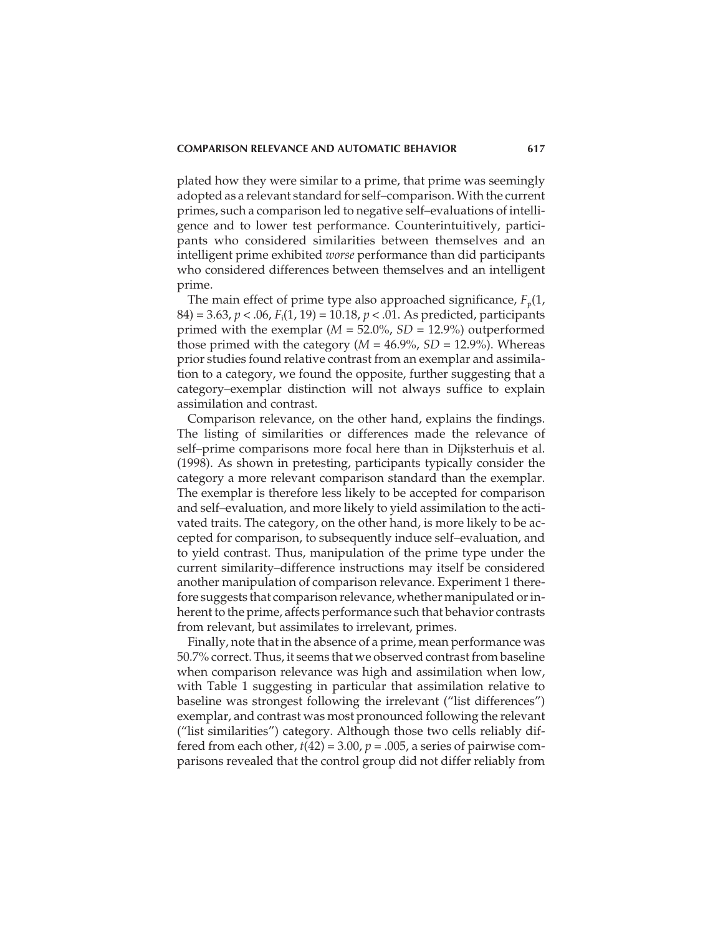plated how they were similar to a prime, that prime was seemingly adopted as a relevant standard for self–comparison. With the current primes, such a comparison led to negative self–evaluations of intelligence and to lower test performance. Counterintuitively, participants who considered similarities between themselves and an intelligent prime exhibited *worse* performance than did participants who considered differences between themselves and an intelligent prime.

The main effect of prime type also approached significance,  $F_p(1)$ , 84) = 3.63, *p* < .06, *F*<sup>i</sup> (1, 19) = 10.18, *p* < .01. As predicted, participants primed with the exemplar (*M* = 52.0%, *SD* = 12.9%) outperformed those primed with the category  $(M = 46.9\%, SD = 12.9\%)$ . Whereas prior studies found relative contrast from an exemplar and assimilation to a category, we found the opposite, further suggesting that a category–exemplar distinction will not always suffice to explain assimilation and contrast.

Comparison relevance, on the other hand, explains the findings. The listing of similarities or differences made the relevance of self–prime comparisons more focal here than in Dijksterhuis et al. (1998). As shown in pretesting, participants typically consider the category a more relevant comparison standard than the exemplar. The exemplar is therefore less likely to be accepted for comparison and self–evaluation, and more likely to yield assimilation to the activated traits. The category, on the other hand, is more likely to be accepted for comparison, to subsequently induce self–evaluation, and to yield contrast. Thus, manipulation of the prime type under the current similarity–difference instructions may itself be considered another manipulation of comparison relevance. Experiment 1 therefore suggests that comparison relevance, whether manipulated or inherent to the prime, affects performance such that behavior contrasts from relevant, but assimilates to irrelevant, primes.

Finally, note that in the absence of a prime, mean performance was 50.7% correct. Thus, it seems that we observed contrast from baseline when comparison relevance was high and assimilation when low, with Table 1 suggesting in particular that assimilation relative to baseline was strongest following the irrelevant ("list differences") exemplar, and contrast was most pronounced following the relevant ("list similarities") category. Although those two cells reliably differed from each other,  $t(42) = 3.00$ ,  $p = .005$ , a series of pairwise comparisons revealed that the control group did not differ reliably from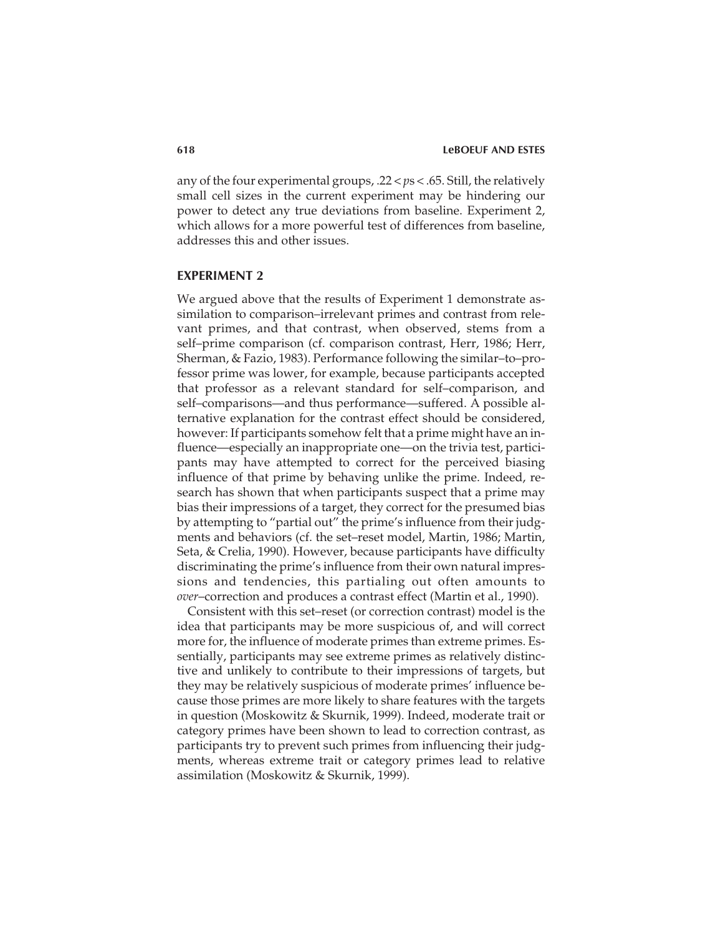any of the four experimental groups, .22 < *p*s < .65. Still, the relatively small cell sizes in the current experiment may be hindering our power to detect any true deviations from baseline. Experiment 2, which allows for a more powerful test of differences from baseline, addresses this and other issues.

# **EXPERIMENT 2**

We argued above that the results of Experiment 1 demonstrate assimilation to comparison–irrelevant primes and contrast from relevant primes, and that contrast, when observed, stems from a self–prime comparison (cf. comparison contrast, Herr, 1986; Herr, Sherman, & Fazio, 1983). Performance following the similar–to–professor prime was lower, for example, because participants accepted that professor as a relevant standard for self–comparison, and self–comparisons—and thus performance—suffered. A possible alternative explanation for the contrast effect should be considered, however: If participants somehow felt that a prime might have an influence—especially an inappropriate one—on the trivia test, participants may have attempted to correct for the perceived biasing influence of that prime by behaving unlike the prime. Indeed, research has shown that when participants suspect that a prime may bias their impressions of a target, they correct for the presumed bias by attempting to "partial out" the prime's influence from their judgments and behaviors (cf. the set–reset model, Martin, 1986; Martin, Seta, & Crelia, 1990). However, because participants have difficulty discriminating the prime's influence from their own natural impressions and tendencies, this partialing out often amounts to *over*–correction and produces a contrast effect (Martin et al., 1990).

Consistent with this set–reset (or correction contrast) model is the idea that participants may be more suspicious of, and will correct more for, the influence of moderate primes than extreme primes. Essentially, participants may see extreme primes as relatively distinctive and unlikely to contribute to their impressions of targets, but they may be relatively suspicious of moderate primes' influence because those primes are more likely to share features with the targets in question (Moskowitz & Skurnik, 1999). Indeed, moderate trait or category primes have been shown to lead to correction contrast, as participants try to prevent such primes from influencing their judgments, whereas extreme trait or category primes lead to relative assimilation (Moskowitz & Skurnik, 1999).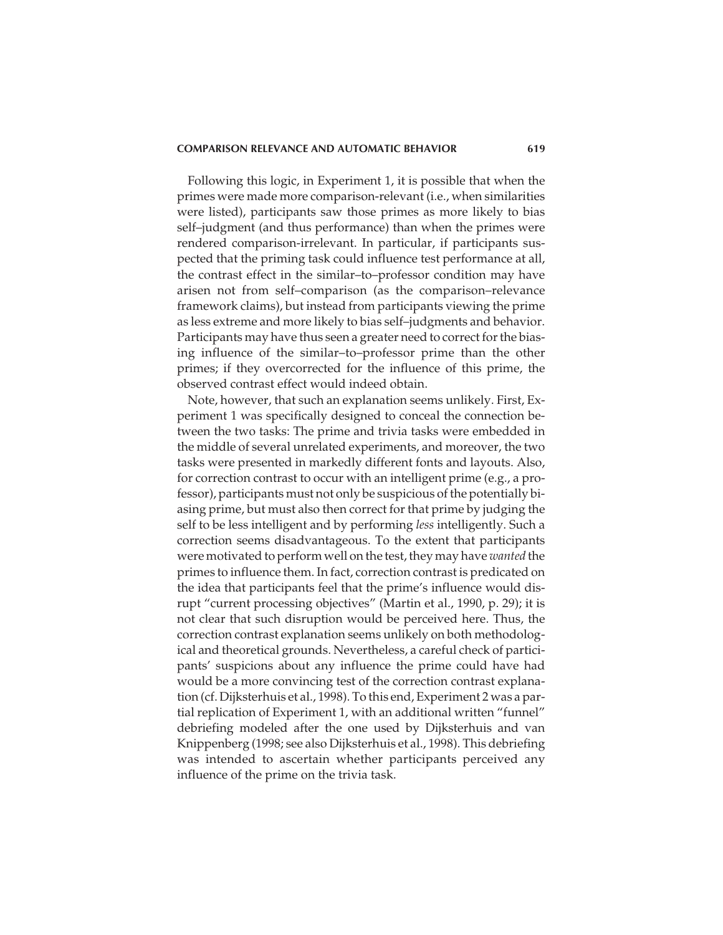#### **COMPARISON RELEVANCE AND AUTOMATIC BEHAVIOR 619**

Following this logic, in Experiment 1, it is possible that when the primes were made more comparison-relevant (i.e., when similarities were listed), participants saw those primes as more likely to bias self–judgment (and thus performance) than when the primes were rendered comparison-irrelevant. In particular, if participants suspected that the priming task could influence test performance at all, the contrast effect in the similar–to–professor condition may have arisen not from self–comparison (as the comparison–relevance framework claims), but instead from participants viewing the prime as less extreme and more likely to bias self–judgments and behavior. Participants may have thus seen a greater need to correct for the biasing influence of the similar–to–professor prime than the other primes; if they overcorrected for the influence of this prime, the observed contrast effect would indeed obtain.

Note, however, that such an explanation seems unlikely. First, Experiment 1 was specifically designed to conceal the connection between the two tasks: The prime and trivia tasks were embedded in the middle of several unrelated experiments, and moreover, the two tasks were presented in markedly different fonts and layouts. Also, for correction contrast to occur with an intelligent prime (e.g., a professor), participants must not only be suspicious of the potentially biasing prime, but must also then correct for that prime by judging the self to be less intelligent and by performing *less* intelligently. Such a correction seems disadvantageous. To the extent that participants were motivated to perform well on the test, they may have *wanted* the primes to influence them. In fact, correction contrast is predicated on the idea that participants feel that the prime's influence would disrupt "current processing objectives" (Martin et al., 1990, p. 29); it is not clear that such disruption would be perceived here. Thus, the correction contrast explanation seems unlikely on both methodological and theoretical grounds. Nevertheless, a careful check of participants' suspicions about any influence the prime could have had would be a more convincing test of the correction contrast explanation (cf. Dijksterhuis et al., 1998). To this end, Experiment 2 was a partial replication of Experiment 1, with an additional written "funnel" debriefing modeled after the one used by Dijksterhuis and van Knippenberg (1998; see also Dijksterhuis et al., 1998). This debriefing was intended to ascertain whether participants perceived any influence of the prime on the trivia task.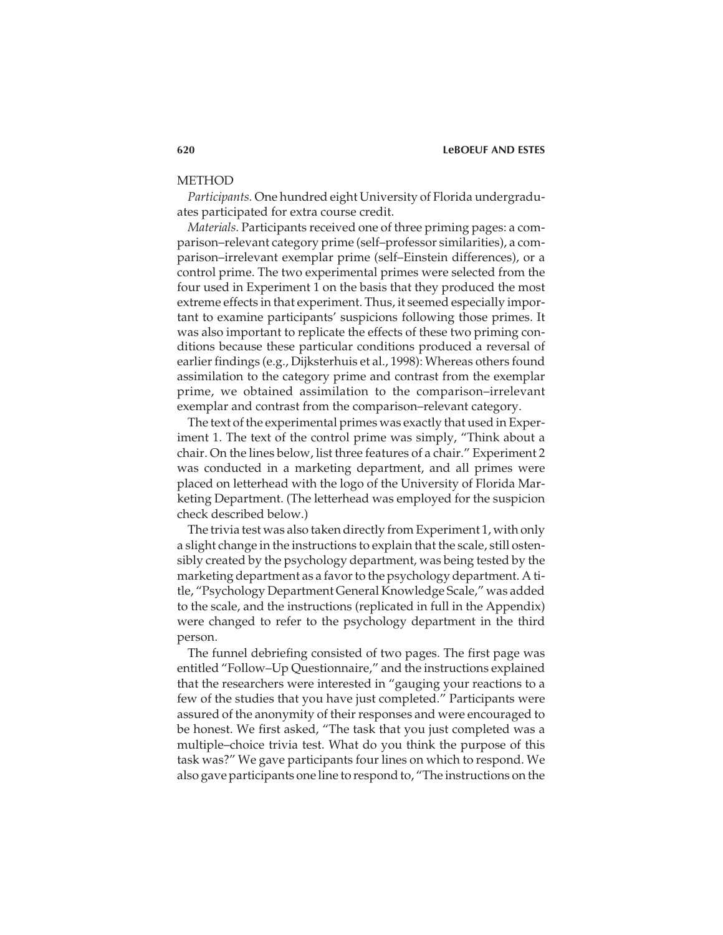# METHOD

*Participants.* One hundred eight University of Florida undergraduates participated for extra course credit.

*Materials.* Participants received one of three priming pages: a comparison–relevant category prime (self–professor similarities), a comparison–irrelevant exemplar prime (self–Einstein differences), or a control prime. The two experimental primes were selected from the four used in Experiment 1 on the basis that they produced the most extreme effects in that experiment. Thus, it seemed especially important to examine participants' suspicions following those primes. It was also important to replicate the effects of these two priming conditions because these particular conditions produced a reversal of earlier findings (e.g., Dijksterhuis et al., 1998): Whereas others found assimilation to the category prime and contrast from the exemplar prime, we obtained assimilation to the comparison–irrelevant exemplar and contrast from the comparison–relevant category.

The text of the experimental primes was exactly that used in Experiment 1. The text of the control prime was simply, "Think about a chair. On the lines below, list three features of a chair." Experiment 2 was conducted in a marketing department, and all primes were placed on letterhead with the logo of the University of Florida Marketing Department. (The letterhead was employed for the suspicion check described below.)

The trivia test was also taken directly from Experiment 1, with only a slight change in the instructions to explain that the scale, still ostensibly created by the psychology department, was being tested by the marketing department as a favor to the psychology department. A title, "Psychology Department General Knowledge Scale," was added to the scale, and the instructions (replicated in full in the Appendix) were changed to refer to the psychology department in the third person.

The funnel debriefing consisted of two pages. The first page was entitled "Follow–Up Questionnaire," and the instructions explained that the researchers were interested in "gauging your reactions to a few of the studies that you have just completed." Participants were assured of the anonymity of their responses and were encouraged to be honest. We first asked, "The task that you just completed was a multiple–choice trivia test. What do you think the purpose of this task was?" We gave participants four lines on which to respond. We also gave participants one line to respond to, "The instructions on the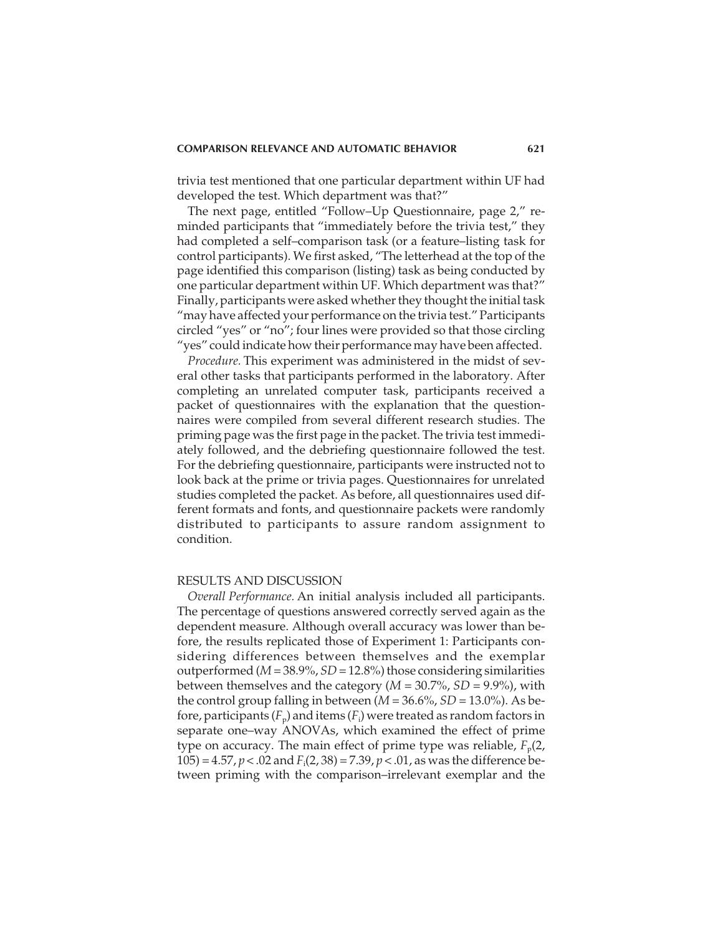trivia test mentioned that one particular department within UF had developed the test. Which department was that?"

The next page, entitled "Follow–Up Questionnaire, page 2," reminded participants that "immediately before the trivia test," they had completed a self–comparison task (or a feature–listing task for control participants). We first asked, "The letterhead at the top of the page identified this comparison (listing) task as being conducted by one particular department within UF. Which department was that?" Finally, participants were asked whether they thought the initial task "may have affected your performance on the trivia test." Participants circled "yes" or "no"; four lines were provided so that those circling "yes" could indicate how their performance may have been affected.

*Procedure.* This experiment was administered in the midst of several other tasks that participants performed in the laboratory. After completing an unrelated computer task, participants received a packet of questionnaires with the explanation that the questionnaires were compiled from several different research studies. The priming page was the first page in the packet. The trivia test immediately followed, and the debriefing questionnaire followed the test. For the debriefing questionnaire, participants were instructed not to look back at the prime or trivia pages. Questionnaires for unrelated studies completed the packet. As before, all questionnaires used different formats and fonts, and questionnaire packets were randomly distributed to participants to assure random assignment to condition.

# RESULTS AND DISCUSSION

*Overall Performance.* An initial analysis included all participants. The percentage of questions answered correctly served again as the dependent measure. Although overall accuracy was lower than before, the results replicated those of Experiment 1: Participants considering differences between themselves and the exemplar outperformed (*M*= 38.9%, *SD* = 12.8%) those considering similarities between themselves and the category (*M* = 30.7%, *SD* = 9.9%), with the control group falling in between  $(M = 36.6\%, SD = 13.0\%).$  As before, participants ( $F_{\rm p}$ ) and items ( $F_{\rm i}$ ) were treated as random factors in separate one–way ANOVAs, which examined the effect of prime type on accuracy. The main effect of prime type was reliable,  $F_p(2)$ , 105) = 4.57, *p* < .02 and *F*<sup>i</sup> (2, 38) = 7.39, *p* < .01, as was the difference between priming with the comparison–irrelevant exemplar and the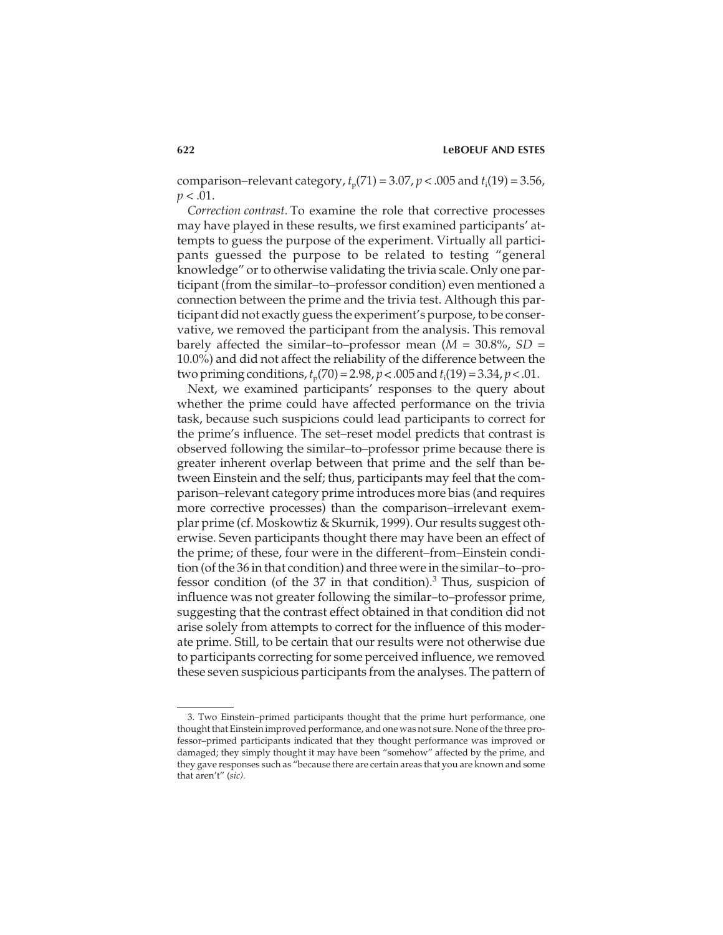comparison–relevant category,  $t_p(71) = 3.07$ ,  $p < .005$  and  $t_i(19) = 3.56$ ,  $p < .01$ .

*Correction contrast.* To examine the role that corrective processes may have played in these results, we first examined participants' attempts to guess the purpose of the experiment. Virtually all participants guessed the purpose to be related to testing "general knowledge" or to otherwise validating the trivia scale. Only one participant (from the similar–to–professor condition) even mentioned a connection between the prime and the trivia test. Although this participant did not exactly guess the experiment's purpose, to be conservative, we removed the participant from the analysis. This removal barely affected the similar–to–professor mean (*M* = 30.8%, *SD* = 10.0%) and did not affect the reliability of the difference between the two priming conditions,  $t_p(70) = 2.98$ ,  $p < .005$  and  $t_i(19) = 3.34$ ,  $p < .01$ .

Next, we examined participants' responses to the query about whether the prime could have affected performance on the trivia task, because such suspicions could lead participants to correct for the prime's influence. The set–reset model predicts that contrast is observed following the similar–to–professor prime because there is greater inherent overlap between that prime and the self than between Einstein and the self; thus, participants may feel that the comparison–relevant category prime introduces more bias (and requires more corrective processes) than the comparison–irrelevant exemplar prime (cf. Moskowtiz & Skurnik, 1999). Our results suggest otherwise. Seven participants thought there may have been an effect of the prime; of these, four were in the different–from–Einstein condition (of the 36 in that condition) and three were in the similar–to–professor condition (of the  $37$  in that condition).<sup>3</sup> Thus, suspicion of influence was not greater following the similar–to–professor prime, suggesting that the contrast effect obtained in that condition did not arise solely from attempts to correct for the influence of this moderate prime. Still, to be certain that our results were not otherwise due to participants correcting for some perceived influence, we removed these seven suspicious participants from the analyses. The pattern of

<sup>3.</sup> Two Einstein–primed participants thought that the prime hurt performance, one thought that Einstein improved performance, and one was not sure. None of the three professor–primed participants indicated that they thought performance was improved or damaged; they simply thought it may have been "somehow" affected by the prime, and they gave responses such as "because there are certain areas that you are known and some that aren't" (*sic).*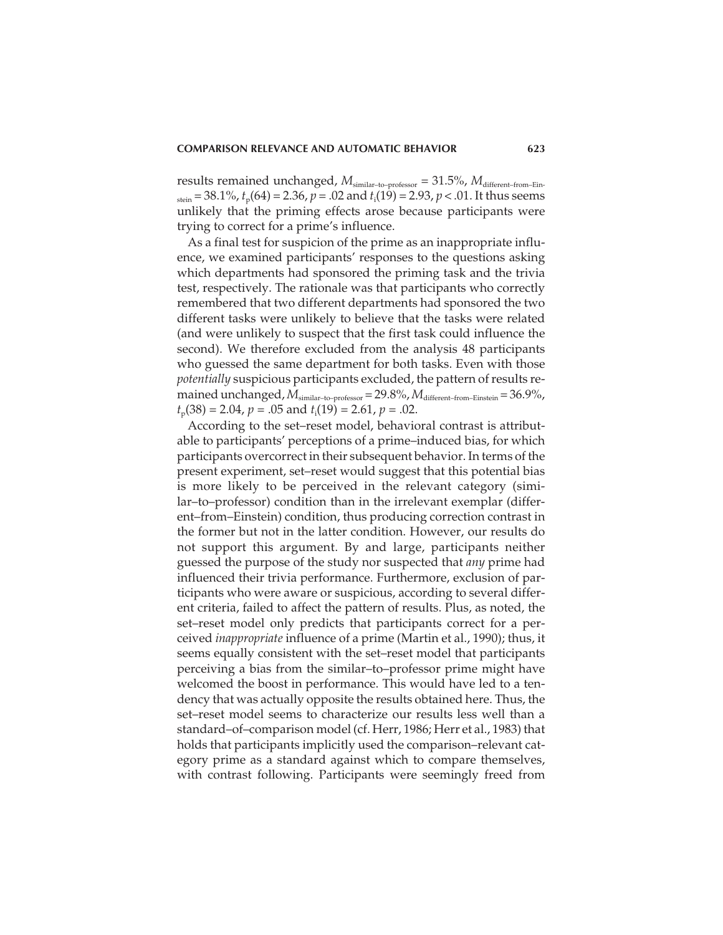results remained unchanged,  $M_{\text{similar-to-professor}} = 31.5\%$ ,  $M_{\text{different-from-Ein-}}$  $s_{\text{tein}} = 38.1\%$ ,  $t_{\text{p}}(64) = 2.36$ ,  $p = .02$  and  $t_{\text{i}}(19) = 2.93$ ,  $p < .01$ . It thus seems unlikely that the priming effects arose because participants were trying to correct for a prime's influence.

As a final test for suspicion of the prime as an inappropriate influence, we examined participants' responses to the questions asking which departments had sponsored the priming task and the trivia test, respectively. The rationale was that participants who correctly remembered that two different departments had sponsored the two different tasks were unlikely to believe that the tasks were related (and were unlikely to suspect that the first task could influence the second). We therefore excluded from the analysis 48 participants who guessed the same department for both tasks. Even with those *potentially* suspicious participants excluded, the pattern of results remained unchanged, *M*similar–to–professor = 29.8%, *M*different–from–Einstein = 36.9%, *t*p(38) = 2.04, *p* = .05 and *t*<sup>i</sup> (19) = 2.61, *p* = .02.

According to the set–reset model, behavioral contrast is attributable to participants' perceptions of a prime–induced bias, for which participants overcorrect in their subsequent behavior. In terms of the present experiment, set–reset would suggest that this potential bias is more likely to be perceived in the relevant category (similar–to–professor) condition than in the irrelevant exemplar (different–from–Einstein) condition, thus producing correction contrast in the former but not in the latter condition. However, our results do not support this argument. By and large, participants neither guessed the purpose of the study nor suspected that *any* prime had influenced their trivia performance. Furthermore, exclusion of participants who were aware or suspicious, according to several different criteria, failed to affect the pattern of results. Plus, as noted, the set–reset model only predicts that participants correct for a perceived *inappropriate* influence of a prime (Martin et al., 1990); thus, it seems equally consistent with the set–reset model that participants perceiving a bias from the similar–to–professor prime might have welcomed the boost in performance. This would have led to a tendency that was actually opposite the results obtained here. Thus, the set–reset model seems to characterize our results less well than a standard–of–comparison model (cf. Herr, 1986; Herr et al., 1983) that holds that participants implicitly used the comparison–relevant category prime as a standard against which to compare themselves, with contrast following. Participants were seemingly freed from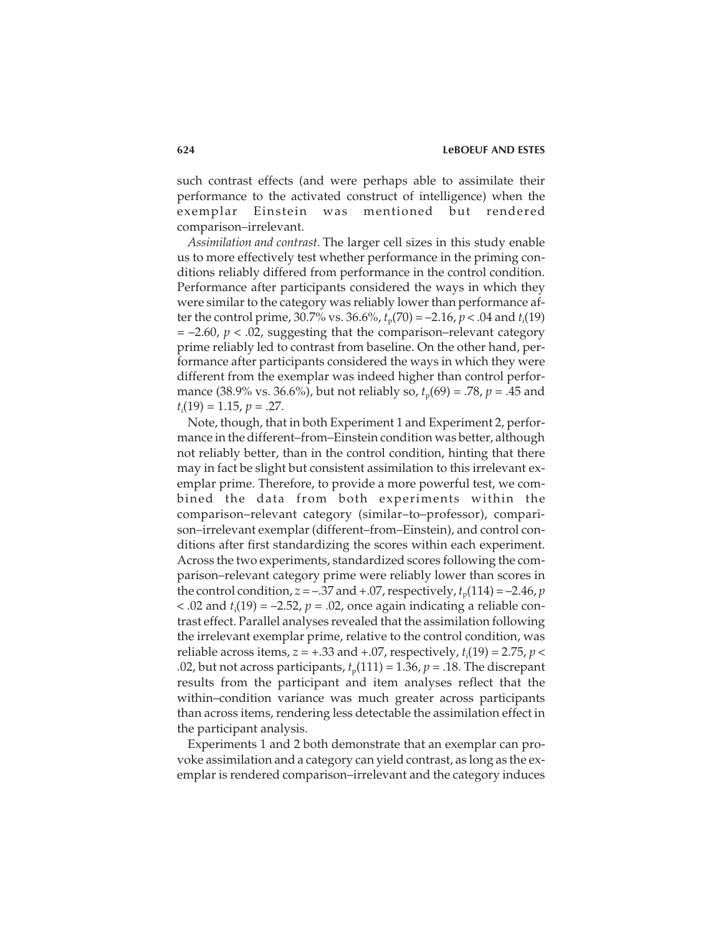such contrast effects (and were perhaps able to assimilate their performance to the activated construct of intelligence) when the exemplar Einstein was mentioned but rendered comparison–irrelevant.

*Assimilation and contrast.* The larger cell sizes in this study enable us to more effectively test whether performance in the priming conditions reliably differed from performance in the control condition. Performance after participants considered the ways in which they were similar to the category was reliably lower than performance after the control prime, 30.7% vs. 36.6%,  $t_p(70) = -2.16$ ,  $p < .04$  and  $t_i(19)$ = –2.60, *p* < .02, suggesting that the comparison–relevant category prime reliably led to contrast from baseline. On the other hand, performance after participants considered the ways in which they were different from the exemplar was indeed higher than control performance (38.9% vs. 36.6%), but not reliably so,  $t_p(69) = .78$ ,  $p = .45$  and *t*i (19) = 1.15, *p* = .27.

Note, though, that in both Experiment 1 and Experiment 2, performance in the different–from–Einstein condition was better, although not reliably better, than in the control condition, hinting that there may in fact be slight but consistent assimilation to this irrelevant exemplar prime. Therefore, to provide a more powerful test, we combined the data from both experiments within the comparison–relevant category (similar–to–professor), comparison–irrelevant exemplar (different–from–Einstein), and control conditions after first standardizing the scores within each experiment. Across the two experiments, standardized scores following the comparison–relevant category prime were reliably lower than scores in the control condition,  $z = -0.37$  and  $+0.07$ , respectively,  $t_p(114) = -2.46$ , *p*  $<$  .02 and  $t_i(19)$  =  $-2.52$ ,  $p = 0.02$ , once again indicating a reliable contrast effect. Parallel analyses revealed that the assimilation following the irrelevant exemplar prime, relative to the control condition, was reliable across items, *z* = +.33 and +.07, respectively, *t*<sup>i</sup> (19) = 2.75, *p* < .02, but not across participants,  $t_p(111) = 1.36$ ,  $p = .18$ . The discrepant results from the participant and item analyses reflect that the within–condition variance was much greater across participants than across items, rendering less detectable the assimilation effect in the participant analysis.

Experiments 1 and 2 both demonstrate that an exemplar can provoke assimilation and a category can yield contrast, as long as the exemplar is rendered comparison–irrelevant and the category induces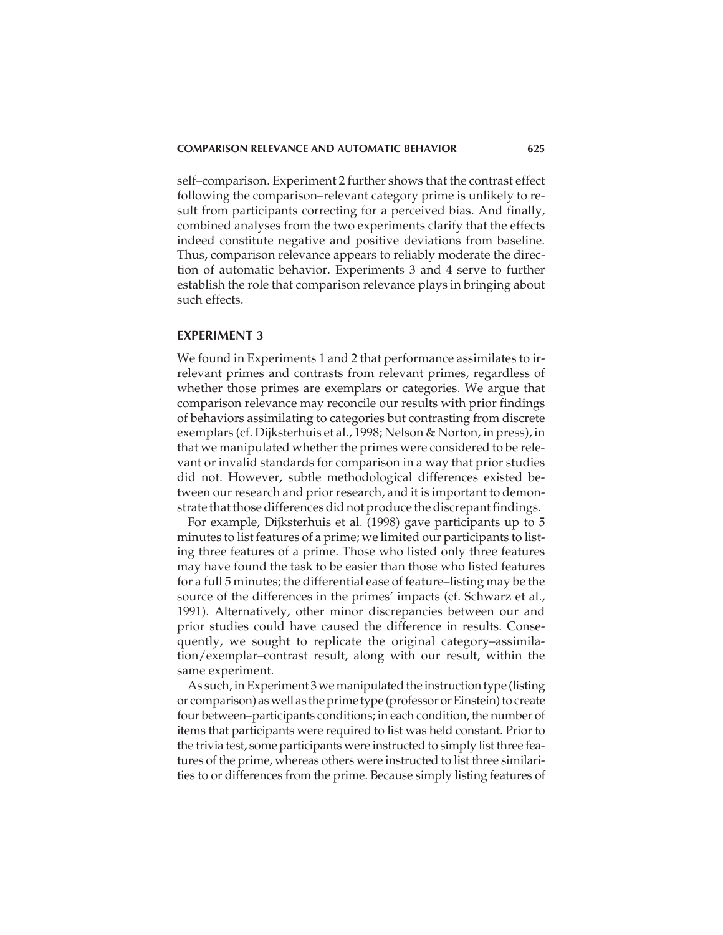self–comparison. Experiment 2 further shows that the contrast effect following the comparison–relevant category prime is unlikely to result from participants correcting for a perceived bias. And finally, combined analyses from the two experiments clarify that the effects indeed constitute negative and positive deviations from baseline. Thus, comparison relevance appears to reliably moderate the direction of automatic behavior. Experiments 3 and 4 serve to further establish the role that comparison relevance plays in bringing about such effects.

#### **EXPERIMENT 3**

We found in Experiments 1 and 2 that performance assimilates to irrelevant primes and contrasts from relevant primes, regardless of whether those primes are exemplars or categories. We argue that comparison relevance may reconcile our results with prior findings of behaviors assimilating to categories but contrasting from discrete exemplars (cf. Dijksterhuis et al., 1998; Nelson & Norton, in press), in that we manipulated whether the primes were considered to be relevant or invalid standards for comparison in a way that prior studies did not. However, subtle methodological differences existed between our research and prior research, and it is important to demonstrate that those differences did not produce the discrepant findings.

For example, Dijksterhuis et al. (1998) gave participants up to 5 minutes to list features of a prime; we limited our participants to listing three features of a prime. Those who listed only three features may have found the task to be easier than those who listed features for a full 5 minutes; the differential ease of feature–listing may be the source of the differences in the primes' impacts (cf. Schwarz et al., 1991). Alternatively, other minor discrepancies between our and prior studies could have caused the difference in results. Consequently, we sought to replicate the original category–assimilation/exemplar–contrast result, along with our result, within the same experiment.

As such, in Experiment 3 we manipulated the instruction type (listing or comparison) as well as the prime type (professor or Einstein) to create four between–participants conditions; in each condition, the number of items that participants were required to list was held constant. Prior to the trivia test, some participants were instructed to simply list three features of the prime, whereas others were instructed to list three similarities to or differences from the prime. Because simply listing features of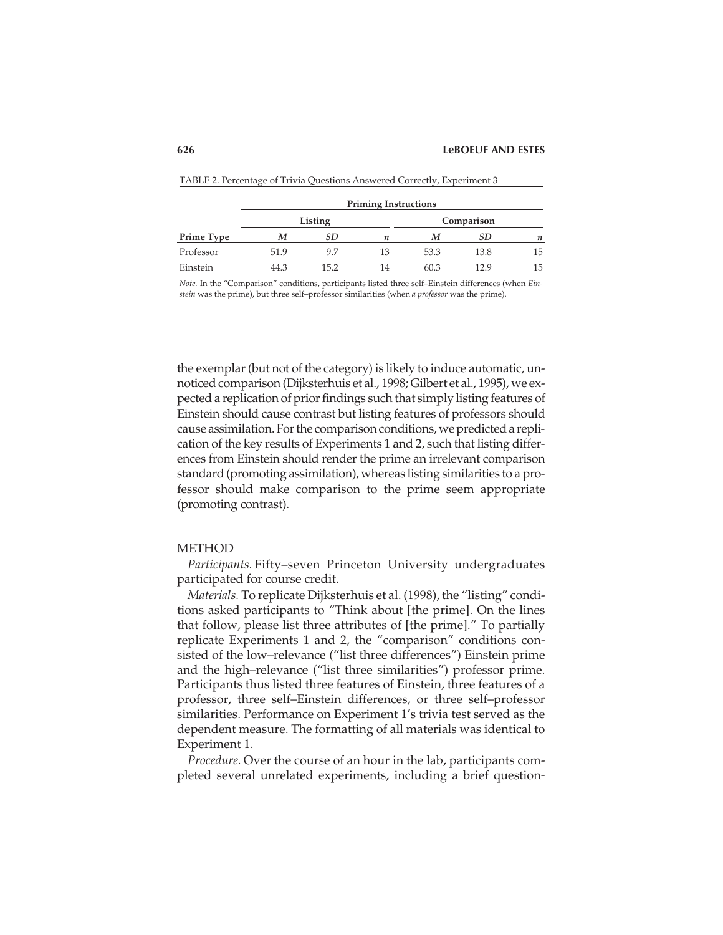|            | <b>Priming Instructions</b> |         |    |            |      |    |  |
|------------|-----------------------------|---------|----|------------|------|----|--|
|            |                             | Listing |    | Comparison |      |    |  |
| Prime Type | м                           | SD      | п  | M          | SD.  | n  |  |
| Professor  | 51.9                        | 9.7     | 13 | 53.3       | 13.8 | 15 |  |
| Einstein   | 44.3                        | 15.2    | 14 | 60.3       | 12.9 | 15 |  |

| TABLE 2. Percentage of Trivia Questions Answered Correctly, Experiment 3 |  |  |
|--------------------------------------------------------------------------|--|--|
|--------------------------------------------------------------------------|--|--|

*Note.* In the "Comparison" conditions, participants listed three self–Einstein differences (when *Einstein* was the prime), but three self–professor similarities (when *a professor* was the prime).

the exemplar (but not of the category) is likely to induce automatic, unnoticed comparison (Dijksterhuis et al., 1998; Gilbert et al., 1995), we expected a replication of prior findings such that simply listing features of Einstein should cause contrast but listing features of professors should cause assimilation. For the comparison conditions, we predicted a replication of the key results of Experiments 1 and 2, such that listing differences from Einstein should render the prime an irrelevant comparison standard (promoting assimilation), whereas listing similarities to a professor should make comparison to the prime seem appropriate (promoting contrast).

#### METHOD

*Participants.* Fifty–seven Princeton University undergraduates participated for course credit.

*Materials.* To replicate Dijksterhuis et al. (1998), the "listing" conditions asked participants to "Think about [the prime]. On the lines that follow, please list three attributes of [the prime]." To partially replicate Experiments 1 and 2, the "comparison" conditions consisted of the low–relevance ("list three differences") Einstein prime and the high–relevance ("list three similarities") professor prime. Participants thus listed three features of Einstein, three features of a professor, three self–Einstein differences, or three self–professor similarities. Performance on Experiment 1's trivia test served as the dependent measure. The formatting of all materials was identical to Experiment 1.

*Procedure.* Over the course of an hour in the lab, participants completed several unrelated experiments, including a brief question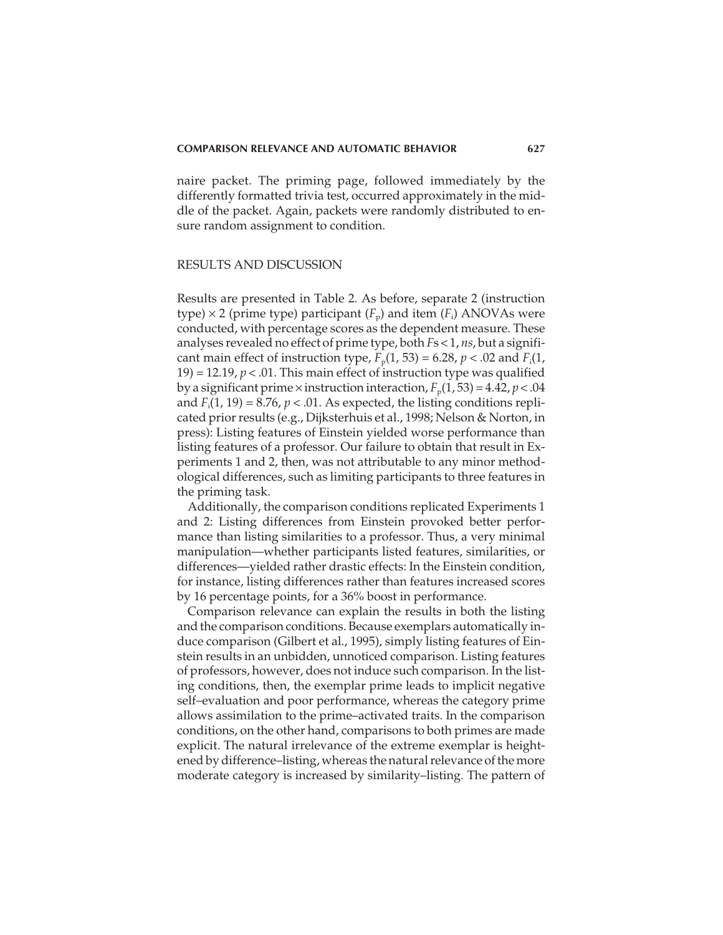naire packet. The priming page, followed immediately by the differently formatted trivia test, occurred approximately in the middle of the packet. Again, packets were randomly distributed to ensure random assignment to condition.

#### RESULTS AND DISCUSSION

Results are presented in Table 2. As before, separate 2 (instruction type)  $\times$  2 (prime type) participant ( $F_p$ ) and item ( $F_i$ ) ANOVAs were conducted, with percentage scores as the dependent measure. These analyses revealed no effect of prime type, both *F*s < 1, *ns*, but a significant main effect of instruction type,  $F_p(1, 53) = 6.28$ ,  $p < .02$  and  $F_i(1, 53)$ 19) = 12.19,  $p < 0.01$ . This main effect of instruction type was qualified by a significant prime  $\times$  instruction interaction,  $F_p(1, 53) = 4.42$ ,  $p < .04$ and  $F_i(1, 19) = 8.76$ ,  $p < .01$ . As expected, the listing conditions replicated prior results (e.g., Dijksterhuis et al., 1998; Nelson & Norton, in press): Listing features of Einstein yielded worse performance than listing features of a professor. Our failure to obtain that result in Experiments 1 and 2, then, was not attributable to any minor methodological differences, such as limiting participants to three features in the priming task.

Additionally, the comparison conditions replicated Experiments 1 and 2: Listing differences from Einstein provoked better performance than listing similarities to a professor. Thus, a very minimal manipulation—whether participants listed features, similarities, or differences—yielded rather drastic effects: In the Einstein condition, for instance, listing differences rather than features increased scores by 16 percentage points, for a 36% boost in performance.

Comparison relevance can explain the results in both the listing and the comparison conditions. Because exemplars automatically induce comparison (Gilbert et al., 1995), simply listing features of Einstein results in an unbidden, unnoticed comparison. Listing features of professors, however, does not induce such comparison. In the listing conditions, then, the exemplar prime leads to implicit negative self–evaluation and poor performance, whereas the category prime allows assimilation to the prime–activated traits. In the comparison conditions, on the other hand, comparisons to both primes are made explicit. The natural irrelevance of the extreme exemplar is heightened by difference–listing, whereas the natural relevance of the more moderate category is increased by similarity–listing. The pattern of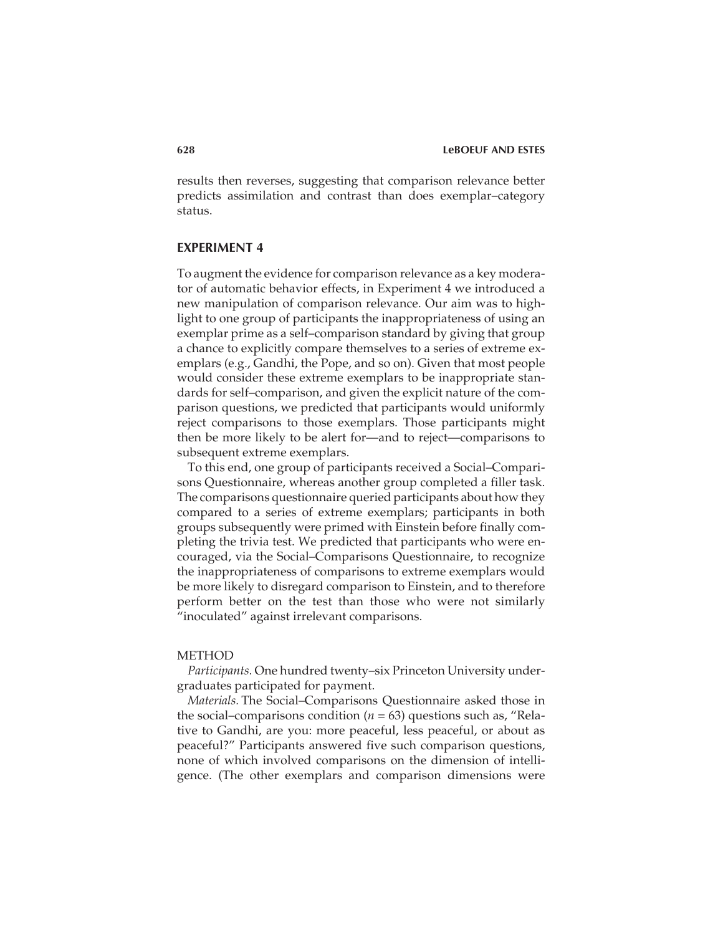results then reverses, suggesting that comparison relevance better predicts assimilation and contrast than does exemplar–category status.

# **EXPERIMENT 4**

To augment the evidence for comparison relevance as a key moderator of automatic behavior effects, in Experiment 4 we introduced a new manipulation of comparison relevance. Our aim was to highlight to one group of participants the inappropriateness of using an exemplar prime as a self–comparison standard by giving that group a chance to explicitly compare themselves to a series of extreme exemplars (e.g., Gandhi, the Pope, and so on). Given that most people would consider these extreme exemplars to be inappropriate standards for self–comparison, and given the explicit nature of the comparison questions, we predicted that participants would uniformly reject comparisons to those exemplars. Those participants might then be more likely to be alert for—and to reject—comparisons to subsequent extreme exemplars.

To this end, one group of participants received a Social–Comparisons Questionnaire, whereas another group completed a filler task. The comparisons questionnaire queried participants about how they compared to a series of extreme exemplars; participants in both groups subsequently were primed with Einstein before finally completing the trivia test. We predicted that participants who were encouraged, via the Social–Comparisons Questionnaire, to recognize the inappropriateness of comparisons to extreme exemplars would be more likely to disregard comparison to Einstein, and to therefore perform better on the test than those who were not similarly "inoculated" against irrelevant comparisons.

#### METHOD

*Participants.* One hundred twenty–six Princeton University undergraduates participated for payment.

*Materials.* The Social–Comparisons Questionnaire asked those in the social–comparisons condition (*n* = 63) questions such as, "Relative to Gandhi, are you: more peaceful, less peaceful, or about as peaceful?" Participants answered five such comparison questions, none of which involved comparisons on the dimension of intelligence. (The other exemplars and comparison dimensions were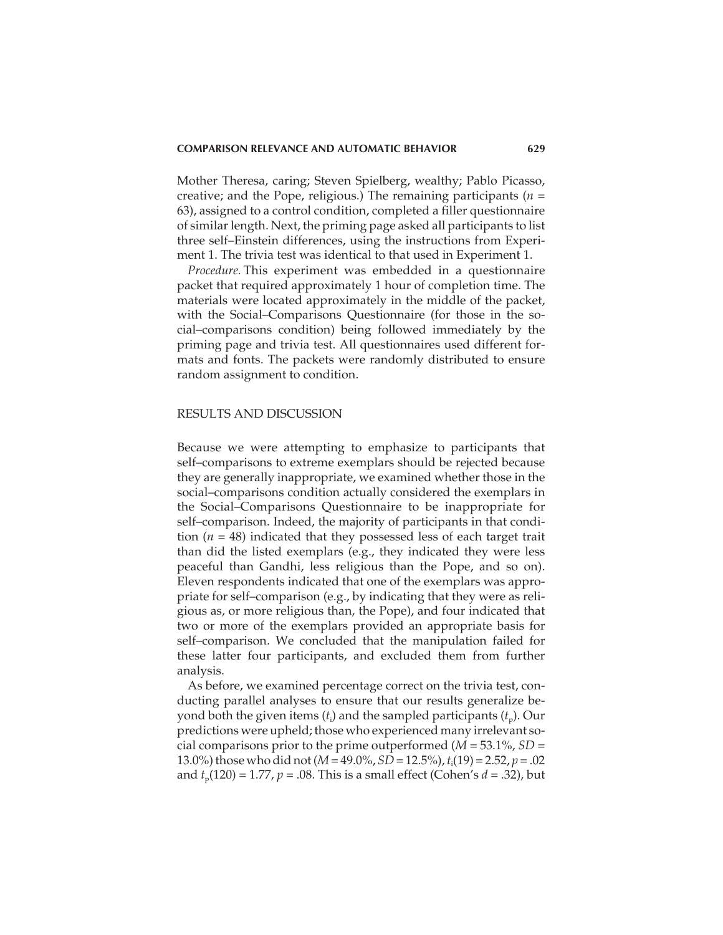Mother Theresa, caring; Steven Spielberg, wealthy; Pablo Picasso, creative; and the Pope, religious.) The remaining participants (*n* = 63), assigned to a control condition, completed a filler questionnaire of similar length. Next, the priming page asked all participants to list three self–Einstein differences, using the instructions from Experiment 1. The trivia test was identical to that used in Experiment 1.

*Procedure.* This experiment was embedded in a questionnaire packet that required approximately 1 hour of completion time. The materials were located approximately in the middle of the packet, with the Social–Comparisons Questionnaire (for those in the social–comparisons condition) being followed immediately by the priming page and trivia test. All questionnaires used different formats and fonts. The packets were randomly distributed to ensure random assignment to condition.

#### RESULTS AND DISCUSSION

Because we were attempting to emphasize to participants that self–comparisons to extreme exemplars should be rejected because they are generally inappropriate, we examined whether those in the social–comparisons condition actually considered the exemplars in the Social–Comparisons Questionnaire to be inappropriate for self–comparison. Indeed, the majority of participants in that condition (*n* = 48) indicated that they possessed less of each target trait than did the listed exemplars (e.g., they indicated they were less peaceful than Gandhi, less religious than the Pope, and so on). Eleven respondents indicated that one of the exemplars was appropriate for self–comparison (e.g., by indicating that they were as religious as, or more religious than, the Pope), and four indicated that two or more of the exemplars provided an appropriate basis for self–comparison. We concluded that the manipulation failed for these latter four participants, and excluded them from further analysis.

As before, we examined percentage correct on the trivia test, conducting parallel analyses to ensure that our results generalize beyond both the given items  $(t_{\rm i})$  and the sampled participants  $(t_{\rm p}).$  Our predictions were upheld; those who experienced many irrelevant social comparisons prior to the prime outperformed (*M* = 53.1%, *SD* = 13.0%) those who did not (*M*= 49.0%, *SD*= 12.5%),*t*<sup>i</sup> (19) = 2.52, *p* = .02 and  $t_p(120) = 1.77$ ,  $p = .08$ . This is a small effect (Cohen's  $d = .32$ ), but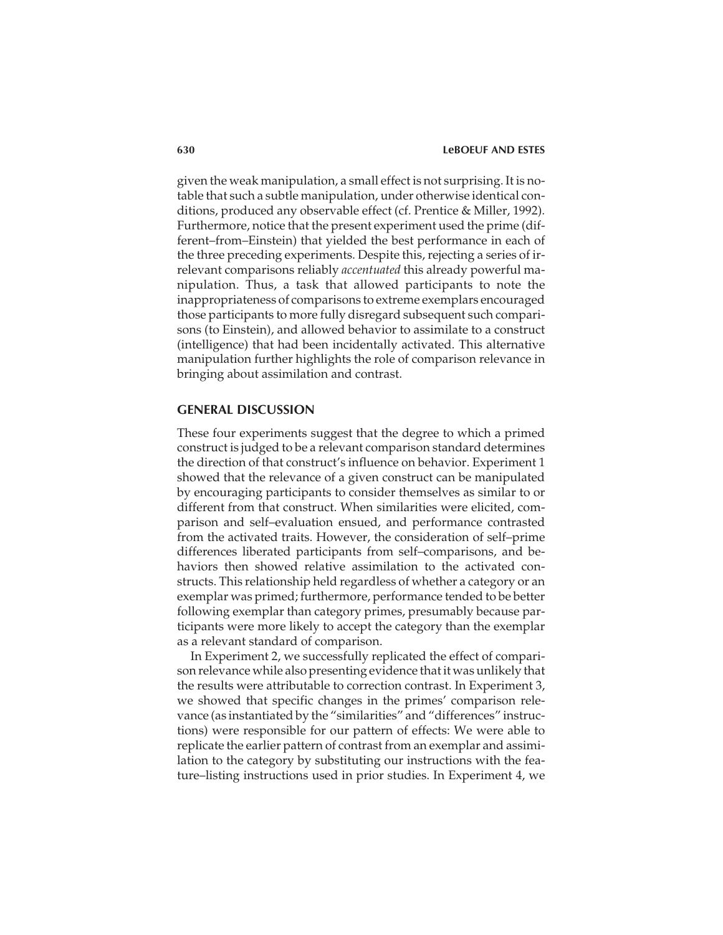given the weak manipulation, a small effect is not surprising. It is notable that such a subtle manipulation, under otherwise identical conditions, produced any observable effect (cf. Prentice & Miller, 1992). Furthermore, notice that the present experiment used the prime (different–from–Einstein) that yielded the best performance in each of the three preceding experiments. Despite this, rejecting a series of irrelevant comparisons reliably *accentuated* this already powerful manipulation. Thus, a task that allowed participants to note the inappropriateness of comparisons to extreme exemplars encouraged those participants to more fully disregard subsequent such comparisons (to Einstein), and allowed behavior to assimilate to a construct (intelligence) that had been incidentally activated. This alternative manipulation further highlights the role of comparison relevance in bringing about assimilation and contrast.

# **GENERAL DISCUSSION**

These four experiments suggest that the degree to which a primed construct is judged to be a relevant comparison standard determines the direction of that construct's influence on behavior. Experiment 1 showed that the relevance of a given construct can be manipulated by encouraging participants to consider themselves as similar to or different from that construct. When similarities were elicited, comparison and self–evaluation ensued, and performance contrasted from the activated traits. However, the consideration of self–prime differences liberated participants from self–comparisons, and behaviors then showed relative assimilation to the activated constructs. This relationship held regardless of whether a category or an exemplar was primed; furthermore, performance tended to be better following exemplar than category primes, presumably because participants were more likely to accept the category than the exemplar as a relevant standard of comparison.

In Experiment 2, we successfully replicated the effect of comparison relevance while also presenting evidence that it was unlikely that the results were attributable to correction contrast. In Experiment 3, we showed that specific changes in the primes' comparison relevance (as instantiated by the "similarities" and "differences" instructions) were responsible for our pattern of effects: We were able to replicate the earlier pattern of contrast from an exemplar and assimilation to the category by substituting our instructions with the feature–listing instructions used in prior studies. In Experiment 4, we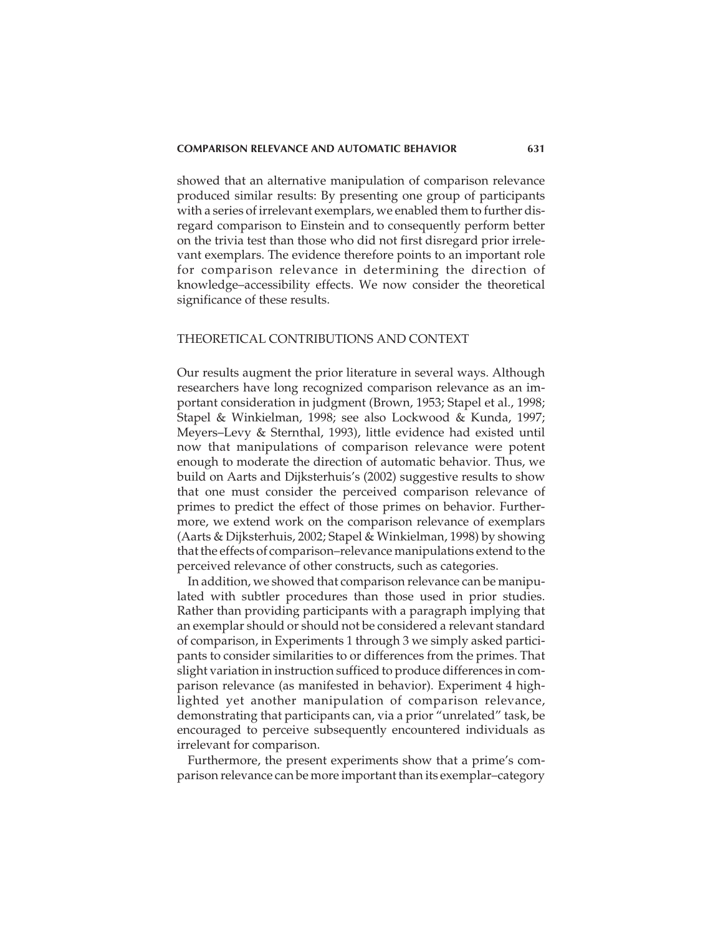showed that an alternative manipulation of comparison relevance produced similar results: By presenting one group of participants with a series of irrelevant exemplars, we enabled them to further disregard comparison to Einstein and to consequently perform better on the trivia test than those who did not first disregard prior irrelevant exemplars. The evidence therefore points to an important role for comparison relevance in determining the direction of knowledge–accessibility effects. We now consider the theoretical significance of these results.

# THEORETICAL CONTRIBUTIONS AND CONTEXT

Our results augment the prior literature in several ways. Although researchers have long recognized comparison relevance as an important consideration in judgment (Brown, 1953; Stapel et al., 1998; Stapel & Winkielman, 1998; see also Lockwood & Kunda, 1997; Meyers–Levy & Sternthal, 1993), little evidence had existed until now that manipulations of comparison relevance were potent enough to moderate the direction of automatic behavior. Thus, we build on Aarts and Dijksterhuis's (2002) suggestive results to show that one must consider the perceived comparison relevance of primes to predict the effect of those primes on behavior. Furthermore, we extend work on the comparison relevance of exemplars (Aarts & Dijksterhuis, 2002; Stapel & Winkielman, 1998) by showing that the effects of comparison–relevance manipulations extend to the perceived relevance of other constructs, such as categories.

In addition, we showed that comparison relevance can be manipulated with subtler procedures than those used in prior studies. Rather than providing participants with a paragraph implying that an exemplar should or should not be considered a relevant standard of comparison, in Experiments 1 through 3 we simply asked participants to consider similarities to or differences from the primes. That slight variation in instruction sufficed to produce differences in comparison relevance (as manifested in behavior). Experiment 4 highlighted yet another manipulation of comparison relevance, demonstrating that participants can, via a prior "unrelated" task, be encouraged to perceive subsequently encountered individuals as irrelevant for comparison.

Furthermore, the present experiments show that a prime's comparison relevance can be more important than its exemplar–category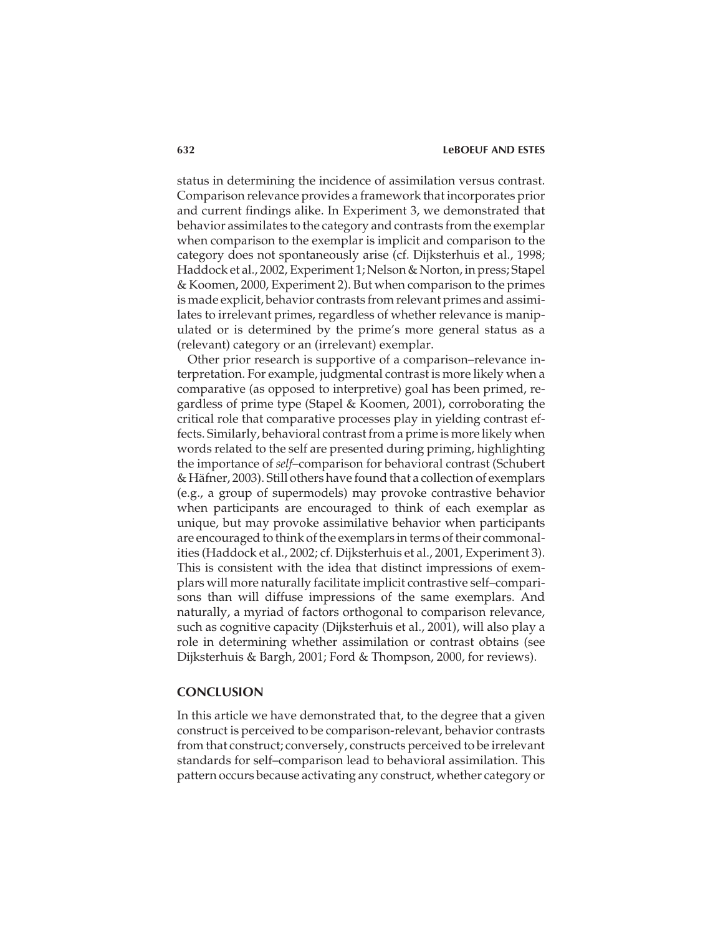status in determining the incidence of assimilation versus contrast. Comparison relevance provides a framework that incorporates prior and current findings alike. In Experiment 3, we demonstrated that behavior assimilates to the category and contrasts from the exemplar when comparison to the exemplar is implicit and comparison to the category does not spontaneously arise (cf. Dijksterhuis et al., 1998; Haddock et al., 2002, Experiment 1; Nelson & Norton, in press; Stapel & Koomen, 2000, Experiment 2). But when comparison to the primes is made explicit, behavior contrasts from relevant primes and assimilates to irrelevant primes, regardless of whether relevance is manipulated or is determined by the prime's more general status as a (relevant) category or an (irrelevant) exemplar.

Other prior research is supportive of a comparison–relevance interpretation. For example, judgmental contrast is more likely when a comparative (as opposed to interpretive) goal has been primed, regardless of prime type (Stapel & Koomen, 2001), corroborating the critical role that comparative processes play in yielding contrast effects. Similarly, behavioral contrast from a prime is more likely when words related to the self are presented during priming, highlighting the importance of *self*–comparison for behavioral contrast (Schubert & Häfner, 2003). Still others have found that a collection of exemplars (e.g., a group of supermodels) may provoke contrastive behavior when participants are encouraged to think of each exemplar as unique, but may provoke assimilative behavior when participants are encouraged to think of the exemplars in terms of their commonalities (Haddock et al., 2002; cf. Dijksterhuis et al., 2001, Experiment 3). This is consistent with the idea that distinct impressions of exemplars will more naturally facilitate implicit contrastive self–comparisons than will diffuse impressions of the same exemplars. And naturally, a myriad of factors orthogonal to comparison relevance, such as cognitive capacity (Dijksterhuis et al., 2001), will also play a role in determining whether assimilation or contrast obtains (see Dijksterhuis & Bargh, 2001; Ford & Thompson, 2000, for reviews).

### **CONCLUSION**

In this article we have demonstrated that, to the degree that a given construct is perceived to be comparison-relevant, behavior contrasts from that construct; conversely, constructs perceived to be irrelevant standards for self–comparison lead to behavioral assimilation. This pattern occurs because activating any construct, whether category or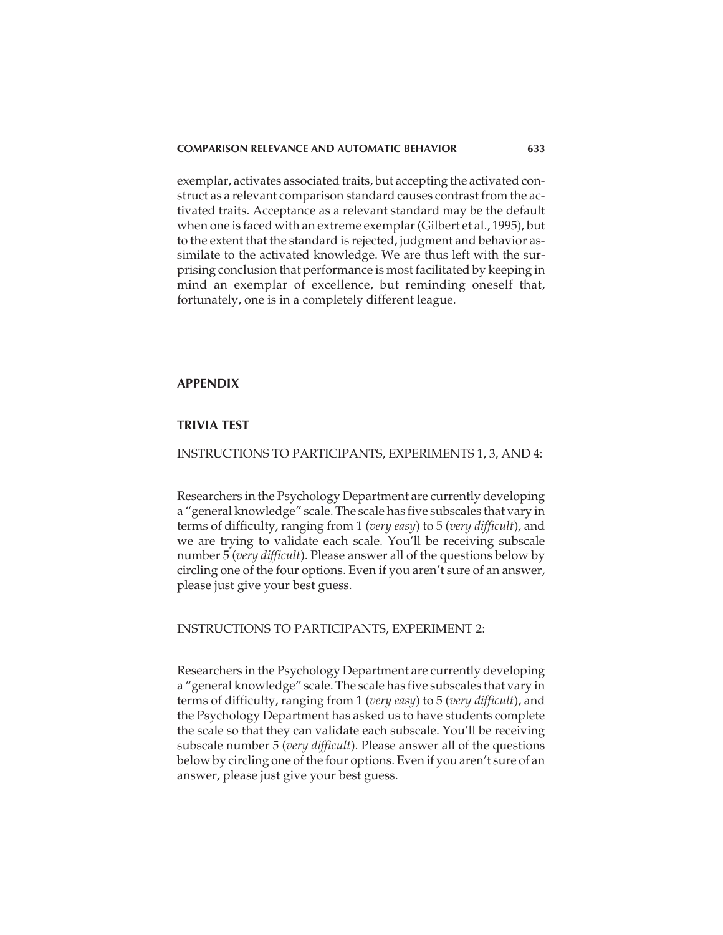exemplar, activates associated traits, but accepting the activated construct as a relevant comparison standard causes contrast from the activated traits. Acceptance as a relevant standard may be the default when one is faced with an extreme exemplar (Gilbert et al., 1995), but to the extent that the standard is rejected, judgment and behavior assimilate to the activated knowledge. We are thus left with the surprising conclusion that performance is most facilitated by keeping in mind an exemplar of excellence, but reminding oneself that, fortunately, one is in a completely different league.

# **APPENDIX**

# **TRIVIA TEST**

# INSTRUCTIONS TO PARTICIPANTS, EXPERIMENTS 1, 3, AND 4:

Researchers in the Psychology Department are currently developing a "general knowledge" scale. The scale has five subscales that vary in terms of difficulty, ranging from 1 (*very easy*) to 5 (*very difficult*), and we are trying to validate each scale. You'll be receiving subscale number 5 (*very difficult*). Please answer all of the questions below by circling one of the four options. Even if you aren't sure of an answer, please just give your best guess.

#### INSTRUCTIONS TO PARTICIPANTS, EXPERIMENT 2:

Researchers in the Psychology Department are currently developing a "general knowledge" scale. The scale has five subscales that vary in terms of difficulty, ranging from 1 (*very easy*) to 5 (*very difficult*), and the Psychology Department has asked us to have students complete the scale so that they can validate each subscale. You'll be receiving subscale number 5 (*very difficult*). Please answer all of the questions below by circling one of the four options. Even if you aren't sure of an answer, please just give your best guess.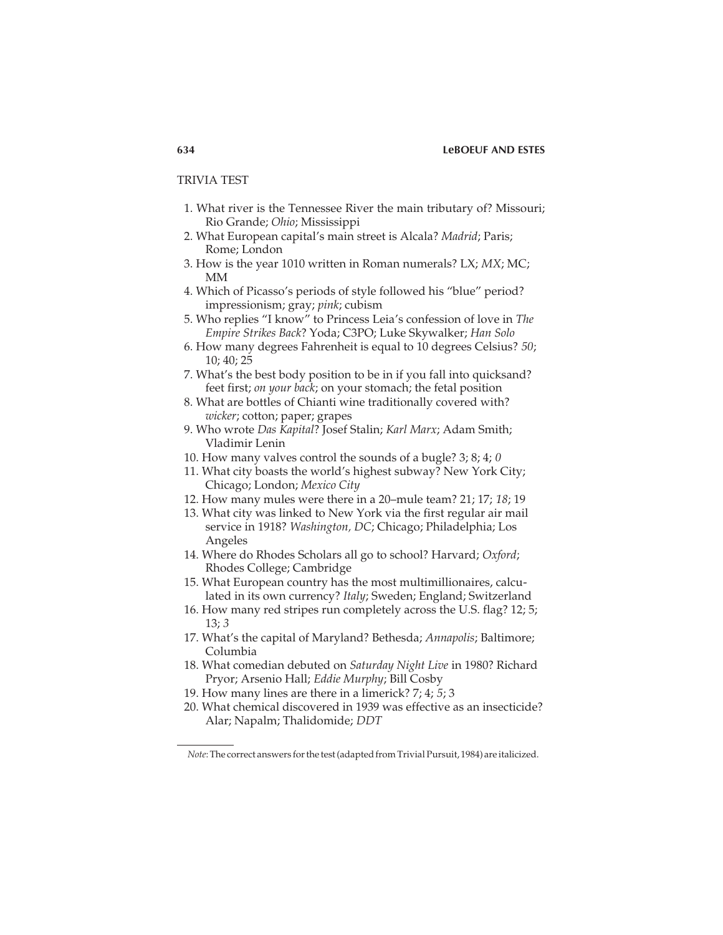#### **634 LeBOEUF AND ESTES**

#### TRIVIA TEST

- 1. What river is the Tennessee River the main tributary of? Missouri; Rio Grande; *Ohio*; Mississippi
- 2. What European capital's main street is Alcala? *Madrid*; Paris; Rome; London
- 3. How is the year 1010 written in Roman numerals? LX; *MX*; MC; MM
- 4. Which of Picasso's periods of style followed his "blue" period? impressionism; gray; *pink*; cubism
- 5. Who replies "I know" to Princess Leia's confession of love in *The Empire Strikes Back*? Yoda; C3PO; Luke Skywalker; *Han Solo*
- 6. How many degrees Fahrenheit is equal to 10 degrees Celsius? *50*; 10; 40; 25
- 7. What's the best body position to be in if you fall into quicksand? feet first; *on your back*; on your stomach; the fetal position
- 8. What are bottles of Chianti wine traditionally covered with? *wicker*; cotton; paper; grapes
- 9. Who wrote *Das Kapital*? Josef Stalin; *Karl Marx*; Adam Smith; Vladimir Lenin
- 10. How many valves control the sounds of a bugle? 3; 8; 4; *0*
- 11. What city boasts the world's highest subway? New York City; Chicago; London; *Mexico City*
- 12. How many mules were there in a 20–mule team? 21; 17; *18*; 19
- 13. What city was linked to New York via the first regular air mail service in 1918? *Washington, DC*; Chicago; Philadelphia; Los Angeles
- 14. Where do Rhodes Scholars all go to school? Harvard; *Oxford*; Rhodes College; Cambridge
- 15. What European country has the most multimillionaires, calculated in its own currency? *Italy*; Sweden; England; Switzerland
- 16. How many red stripes run completely across the U.S. flag? 12; 5; 13; *3*
- 17. What's the capital of Maryland? Bethesda; *Annapolis*; Baltimore; Columbia
- 18. What comedian debuted on *Saturday Night Live* in 1980? Richard Pryor; Arsenio Hall; *Eddie Murphy*; Bill Cosby
- 19. How many lines are there in a limerick? 7; 4; *5*; 3
- 20. What chemical discovered in 1939 was effective as an insecticide? Alar; Napalm; Thalidomide; *DDT*

*Note*: The correct answers for the test (adapted from Trivial Pursuit, 1984) are italicized.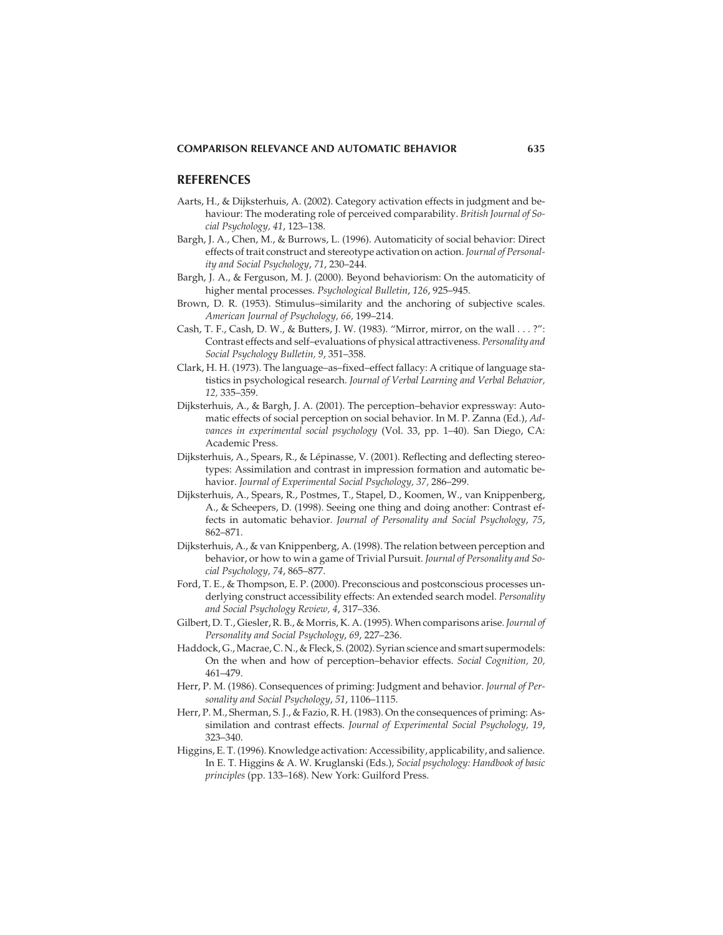#### **REFERENCES**

- Aarts, H., & Dijksterhuis, A. (2002). Category activation effects in judgment and behaviour: The moderating role of perceived comparability. *British Journal of Social Psychology, 41*, 123–138.
- Bargh, J. A., Chen, M., & Burrows, L. (1996). Automaticity of social behavior: Direct effects of trait construct and stereotype activation on action. *Journal of Personality and Social Psychology*, *71*, 230–244.
- Bargh, J. A., & Ferguson, M. J. (2000). Beyond behaviorism: On the automaticity of higher mental processes. *Psychological Bulletin*, *126*, 925–945.
- Brown, D. R. (1953). Stimulus–similarity and the anchoring of subjective scales. *American Journal of Psychology, 66,* 199–214.
- Cash, T. F., Cash, D. W., & Butters, J. W. (1983). "Mirror, mirror, on the wall . . . ?": Contrast effects and self–evaluations of physical attractiveness. *Personality and Social Psychology Bulletin, 9*, 351–358.
- Clark, H. H. (1973). The language–as–fixed–effect fallacy: A critique of language statistics in psychological research. *Journal of Verbal Learning and Verbal Behavior, 12,* 335–359.
- Dijksterhuis, A., & Bargh, J. A. (2001). The perception–behavior expressway: Automatic effects of social perception on social behavior. In M. P. Zanna (Ed.), *Advances in experimental social psychology* (Vol. 33, pp. 1–40). San Diego, CA: Academic Press.
- Dijksterhuis, A., Spears, R., & Lépinasse, V. (2001). Reflecting and deflecting stereotypes: Assimilation and contrast in impression formation and automatic behavior. *Journal of Experimental Social Psychology, 37,* 286–299.
- Dijksterhuis, A., Spears, R., Postmes, T., Stapel, D., Koomen, W., van Knippenberg, A., & Scheepers, D. (1998). Seeing one thing and doing another: Contrast effects in automatic behavior. *Journal of Personality and Social Psychology*, *75*, 862–871.
- Dijksterhuis, A., & van Knippenberg, A. (1998). The relation between perception and behavior, or how to win a game of Trivial Pursuit. *Journal of Personality and Social Psychology, 74*, 865–877.
- Ford, T. E., & Thompson, E. P. (2000). Preconscious and postconscious processes underlying construct accessibility effects: An extended search model. *Personality and Social Psychology Review, 4*, 317–336.
- Gilbert, D. T., Giesler, R. B., & Morris, K. A. (1995). When comparisons arise.*Journal of Personality and Social Psychology*, *69*, 227–236.
- Haddock, G., Macrae, C. N., & Fleck, S. (2002). Syrian science and smart supermodels: On the when and how of perception–behavior effects. *Social Cognition, 20,* 461–479.
- Herr, P. M. (1986). Consequences of priming: Judgment and behavior. *Journal of Personality and Social Psychology*, *51*, 1106–1115.
- Herr, P. M., Sherman, S. J., & Fazio, R. H. (1983). On the consequences of priming: Assimilation and contrast effects. *Journal of Experimental Social Psychology, 19*, 323–340.
- Higgins, E. T. (1996). Knowledge activation: Accessibility, applicability, and salience. In E. T. Higgins & A. W. Kruglanski (Eds.), *Social psychology: Handbook of basic principles* (pp. 133–168). New York: Guilford Press.